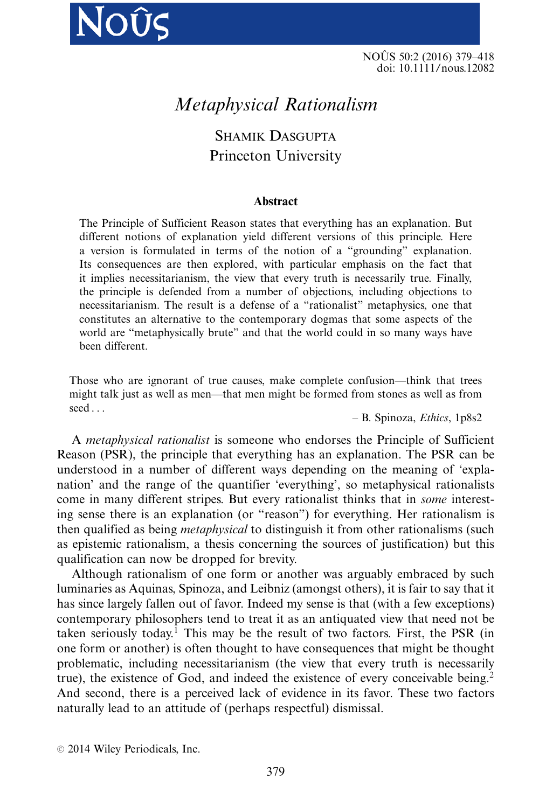NOUS 50:2 (2016) 379–418 doi: 10.1111/nous.12082

# *Metaphysical Rationalism*

# SHAMIK DASGUPTA Princeton University

#### **Abstract**

The Principle of Sufficient Reason states that everything has an explanation. But different notions of explanation yield different versions of this principle. Here a version is formulated in terms of the notion of a "grounding" explanation. Its consequences are then explored, with particular emphasis on the fact that it implies necessitarianism, the view that every truth is necessarily true. Finally, the principle is defended from a number of objections, including objections to necessitarianism. The result is a defense of a "rationalist" metaphysics, one that constitutes an alternative to the contemporary dogmas that some aspects of the world are "metaphysically brute" and that the world could in so many ways have been different.

Those who are ignorant of true causes, make complete confusion—think that trees might talk just as well as men—that men might be formed from stones as well as from seed . . .

– B. Spinoza, *Ethics*, 1p8s2

A *metaphysical rationalist* is someone who endorses the Principle of Sufficient Reason (PSR), the principle that everything has an explanation. The PSR can be understood in a number of different ways depending on the meaning of 'explanation' and the range of the quantifier 'everything', so metaphysical rationalists come in many different stripes. But every rationalist thinks that in *some* interesting sense there is an explanation (or "reason") for everything. Her rationalism is then qualified as being *metaphysical* to distinguish it from other rationalisms (such as epistemic rationalism, a thesis concerning the sources of justification) but this qualification can now be dropped for brevity.

Although rationalism of one form or another was arguably embraced by such luminaries as Aquinas, Spinoza, and Leibniz (amongst others), it is fair to say that it has since largely fallen out of favor. Indeed my sense is that (with a few exceptions) contemporary philosophers tend to treat it as an antiquated view that need not be taken seriously today.<sup>1</sup> This may be the result of two factors. First, the PSR (in one form or another) is often thought to have consequences that might be thought problematic, including necessitarianism (the view that every truth is necessarily true), the existence of God, and indeed the existence of every conceivable being.<sup>2</sup> And second, there is a perceived lack of evidence in its favor. These two factors naturally lead to an attitude of (perhaps respectful) dismissal.

 $\odot$  2014 Wiley Periodicals, Inc.

JOÛS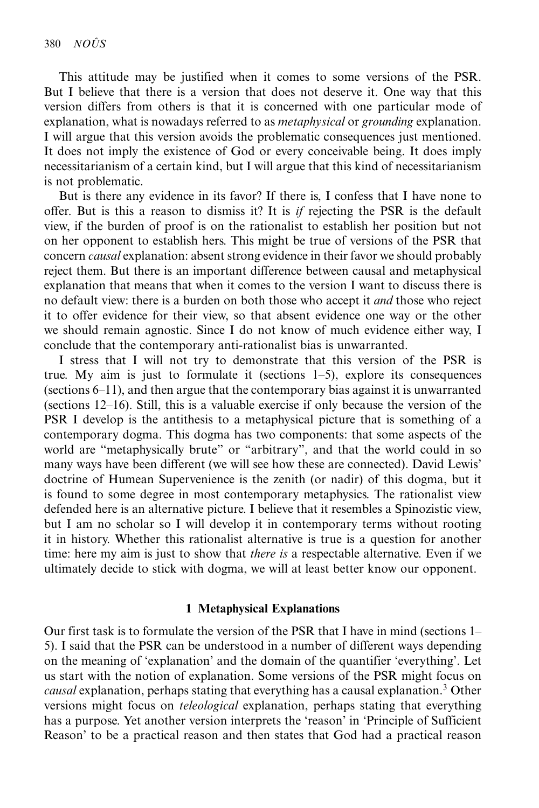This attitude may be justified when it comes to some versions of the PSR. But I believe that there is a version that does not deserve it. One way that this version differs from others is that it is concerned with one particular mode of explanation, what is nowadays referred to as *metaphysical* or *grounding* explanation. I will argue that this version avoids the problematic consequences just mentioned. It does not imply the existence of God or every conceivable being. It does imply necessitarianism of a certain kind, but I will argue that this kind of necessitarianism is not problematic.

But is there any evidence in its favor? If there is, I confess that I have none to offer. But is this a reason to dismiss it? It is *if* rejecting the PSR is the default view, if the burden of proof is on the rationalist to establish her position but not on her opponent to establish hers. This might be true of versions of the PSR that concern *causal* explanation: absent strong evidence in their favor we should probably reject them. But there is an important difference between causal and metaphysical explanation that means that when it comes to the version I want to discuss there is no default view: there is a burden on both those who accept it *and* those who reject it to offer evidence for their view, so that absent evidence one way or the other we should remain agnostic. Since I do not know of much evidence either way, I conclude that the contemporary anti-rationalist bias is unwarranted.

I stress that I will not try to demonstrate that this version of the PSR is true. My aim is just to formulate it (sections 1–5), explore its consequences (sections 6–11), and then argue that the contemporary bias against it is unwarranted (sections 12–16). Still, this is a valuable exercise if only because the version of the PSR I develop is the antithesis to a metaphysical picture that is something of a contemporary dogma. This dogma has two components: that some aspects of the world are "metaphysically brute" or "arbitrary", and that the world could in so many ways have been different (we will see how these are connected). David Lewis' doctrine of Humean Supervenience is the zenith (or nadir) of this dogma, but it is found to some degree in most contemporary metaphysics. The rationalist view defended here is an alternative picture. I believe that it resembles a Spinozistic view, but I am no scholar so I will develop it in contemporary terms without rooting it in history. Whether this rationalist alternative is true is a question for another time: here my aim is just to show that *there is* a respectable alternative. Even if we ultimately decide to stick with dogma, we will at least better know our opponent.

## **1 Metaphysical Explanations**

Our first task is to formulate the version of the PSR that I have in mind (sections 1– 5). I said that the PSR can be understood in a number of different ways depending on the meaning of 'explanation' and the domain of the quantifier 'everything'. Let us start with the notion of explanation. Some versions of the PSR might focus on *causal* explanation, perhaps stating that everything has a causal explanation.3 Other versions might focus on *teleological* explanation, perhaps stating that everything has a purpose. Yet another version interprets the 'reason' in 'Principle of Sufficient Reason' to be a practical reason and then states that God had a practical reason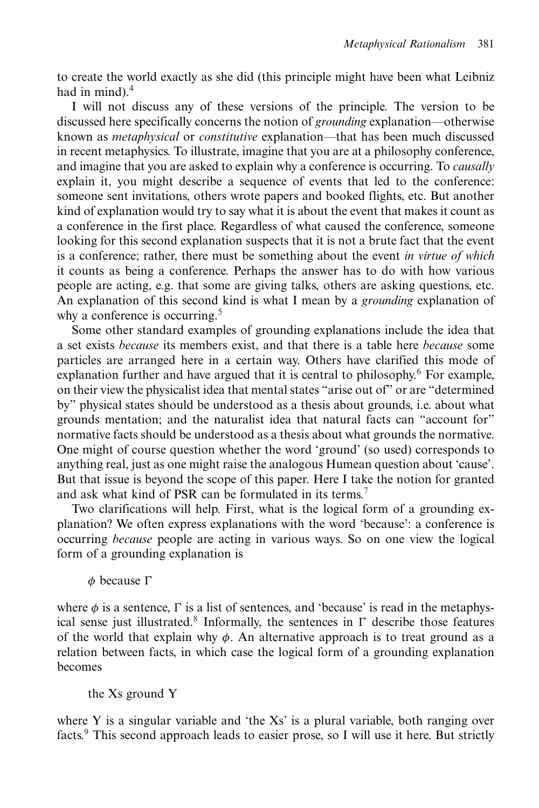to create the world exactly as she did (this principle might have been what Leibniz had in mind). $4$ 

I will not discuss any of these versions of the principle. The version to be discussed here specifically concerns the notion of *grounding* explanation—otherwise known as *metaphysical* or *constitutive* explanation—that has been much discussed in recent metaphysics. To illustrate, imagine that you are at a philosophy conference, and imagine that you are asked to explain why a conference is occurring. To *causally* explain it, you might describe a sequence of events that led to the conference: someone sent invitations, others wrote papers and booked flights, etc. But another kind of explanation would try to say what it is about the event that makes it count as a conference in the first place. Regardless of what caused the conference, someone looking for this second explanation suspects that it is not a brute fact that the event is a conference; rather, there must be something about the event *in virtue of which* it counts as being a conference. Perhaps the answer has to do with how various people are acting, e.g. that some are giving talks, others are asking questions, etc. An explanation of this second kind is what I mean by a *grounding* explanation of why a conference is occurring.<sup>5</sup>

Some other standard examples of grounding explanations include the idea that a set exists *because* its members exist, and that there is a table here *because* some particles are arranged here in a certain way. Others have clarified this mode of explanation further and have argued that it is central to philosophy.<sup>6</sup> For example, on their view the physicalist idea that mental states "arise out of" or are "determined by" physical states should be understood as a thesis about grounds, i.e. about what grounds mentation; and the naturalist idea that natural facts can "account for" normative facts should be understood as a thesis about what grounds the normative. One might of course question whether the word 'ground' (so used) corresponds to anything real, just as one might raise the analogous Humean question about 'cause'. But that issue is beyond the scope of this paper. Here I take the notion for granted and ask what kind of PSR can be formulated in its terms.<sup>7</sup>

Two clarifications will help. First, what is the logical form of a grounding explanation? We often express explanations with the word 'because': a conference is occurring *because* people are acting in various ways. So on one view the logical form of a grounding explanation is

 $φ$  because  $Γ$ 

where  $\phi$  is a sentence,  $\Gamma$  is a list of sentences, and 'because' is read in the metaphysical sense just illustrated.<sup>8</sup> Informally, the sentences in  $\Gamma$  describe those features of the world that explain why  $\phi$ . An alternative approach is to treat ground as a relation between facts, in which case the logical form of a grounding explanation becomes

the Xs ground Y

where Y is a singular variable and 'the  $Xs$ ' is a plural variable, both ranging over facts.<sup>9</sup> This second approach leads to easier prose, so I will use it here. But strictly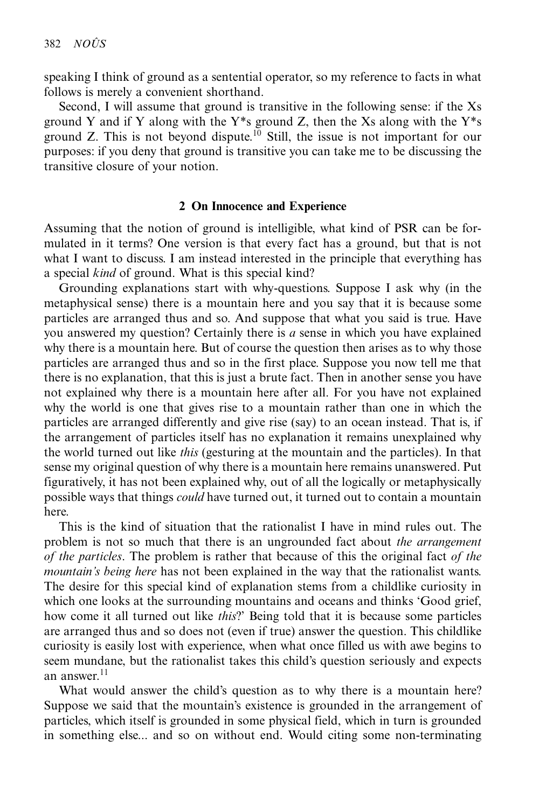speaking I think of ground as a sentential operator, so my reference to facts in what follows is merely a convenient shorthand.

Second, I will assume that ground is transitive in the following sense: if the Xs ground Y and if Y along with the Y<sup>\*</sup>s ground Z, then the Xs along with the Y<sup>\*</sup>s ground Z. This is not beyond dispute.<sup>10</sup> Still, the issue is not important for our purposes: if you deny that ground is transitive you can take me to be discussing the transitive closure of your notion.

#### **2 On Innocence and Experience**

Assuming that the notion of ground is intelligible, what kind of PSR can be formulated in it terms? One version is that every fact has a ground, but that is not what I want to discuss. I am instead interested in the principle that everything has a special *kind* of ground. What is this special kind?

Grounding explanations start with why-questions. Suppose I ask why (in the metaphysical sense) there is a mountain here and you say that it is because some particles are arranged thus and so. And suppose that what you said is true. Have you answered my question? Certainly there is *a* sense in which you have explained why there is a mountain here. But of course the question then arises as to why those particles are arranged thus and so in the first place. Suppose you now tell me that there is no explanation, that this is just a brute fact. Then in another sense you have not explained why there is a mountain here after all. For you have not explained why the world is one that gives rise to a mountain rather than one in which the particles are arranged differently and give rise (say) to an ocean instead. That is, if the arrangement of particles itself has no explanation it remains unexplained why the world turned out like *this* (gesturing at the mountain and the particles). In that sense my original question of why there is a mountain here remains unanswered. Put figuratively, it has not been explained why, out of all the logically or metaphysically possible ways that things *could* have turned out, it turned out to contain a mountain here.

This is the kind of situation that the rationalist I have in mind rules out. The problem is not so much that there is an ungrounded fact about *the arrangement of the particles*. The problem is rather that because of this the original fact *of the mountain's being here* has not been explained in the way that the rationalist wants. The desire for this special kind of explanation stems from a childlike curiosity in which one looks at the surrounding mountains and oceans and thinks 'Good grief, how come it all turned out like *this*?' Being told that it is because some particles are arranged thus and so does not (even if true) answer the question. This childlike curiosity is easily lost with experience, when what once filled us with awe begins to seem mundane, but the rationalist takes this child's question seriously and expects an answer. $11$ 

What would answer the child's question as to why there is a mountain here? Suppose we said that the mountain's existence is grounded in the arrangement of particles, which itself is grounded in some physical field, which in turn is grounded in something else... and so on without end. Would citing some non-terminating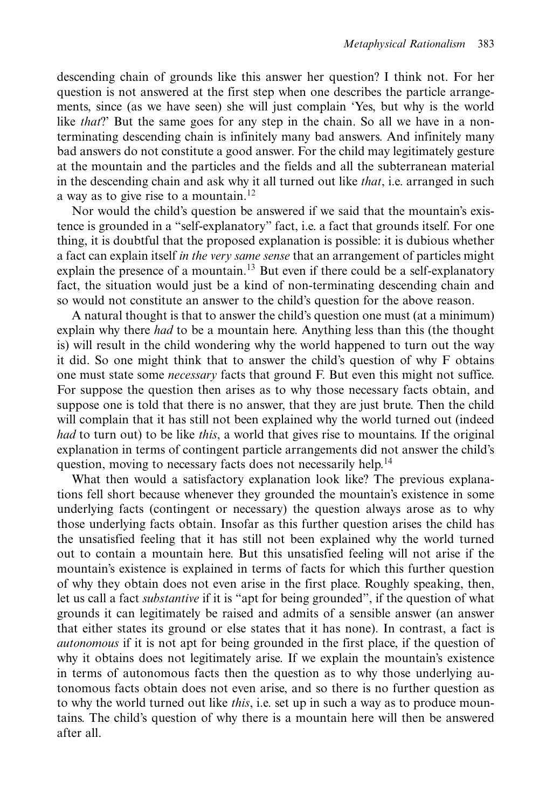descending chain of grounds like this answer her question? I think not. For her question is not answered at the first step when one describes the particle arrangements, since (as we have seen) she will just complain 'Yes, but why is the world like *that*?' But the same goes for any step in the chain. So all we have in a nonterminating descending chain is infinitely many bad answers. And infinitely many bad answers do not constitute a good answer. For the child may legitimately gesture at the mountain and the particles and the fields and all the subterranean material in the descending chain and ask why it all turned out like *that*, i.e. arranged in such a way as to give rise to a mountain. $12$ 

Nor would the child's question be answered if we said that the mountain's existence is grounded in a "self-explanatory" fact, i.e. a fact that grounds itself. For one thing, it is doubtful that the proposed explanation is possible: it is dubious whether a fact can explain itself *in the very same sense* that an arrangement of particles might explain the presence of a mountain.<sup>13</sup> But even if there could be a self-explanatory fact, the situation would just be a kind of non-terminating descending chain and so would not constitute an answer to the child's question for the above reason.

A natural thought is that to answer the child's question one must (at a minimum) explain why there *had* to be a mountain here. Anything less than this (the thought is) will result in the child wondering why the world happened to turn out the way it did. So one might think that to answer the child's question of why F obtains one must state some *necessary* facts that ground F. But even this might not suffice. For suppose the question then arises as to why those necessary facts obtain, and suppose one is told that there is no answer, that they are just brute. Then the child will complain that it has still not been explained why the world turned out (indeed *had* to turn out) to be like *this*, a world that gives rise to mountains. If the original explanation in terms of contingent particle arrangements did not answer the child's question, moving to necessary facts does not necessarily help.<sup>14</sup>

What then would a satisfactory explanation look like? The previous explanations fell short because whenever they grounded the mountain's existence in some underlying facts (contingent or necessary) the question always arose as to why those underlying facts obtain. Insofar as this further question arises the child has the unsatisfied feeling that it has still not been explained why the world turned out to contain a mountain here. But this unsatisfied feeling will not arise if the mountain's existence is explained in terms of facts for which this further question of why they obtain does not even arise in the first place. Roughly speaking, then, let us call a fact *substantive* if it is "apt for being grounded", if the question of what grounds it can legitimately be raised and admits of a sensible answer (an answer that either states its ground or else states that it has none). In contrast, a fact is *autonomous* if it is not apt for being grounded in the first place, if the question of why it obtains does not legitimately arise. If we explain the mountain's existence in terms of autonomous facts then the question as to why those underlying autonomous facts obtain does not even arise, and so there is no further question as to why the world turned out like *this*, i.e. set up in such a way as to produce mountains. The child's question of why there is a mountain here will then be answered after all.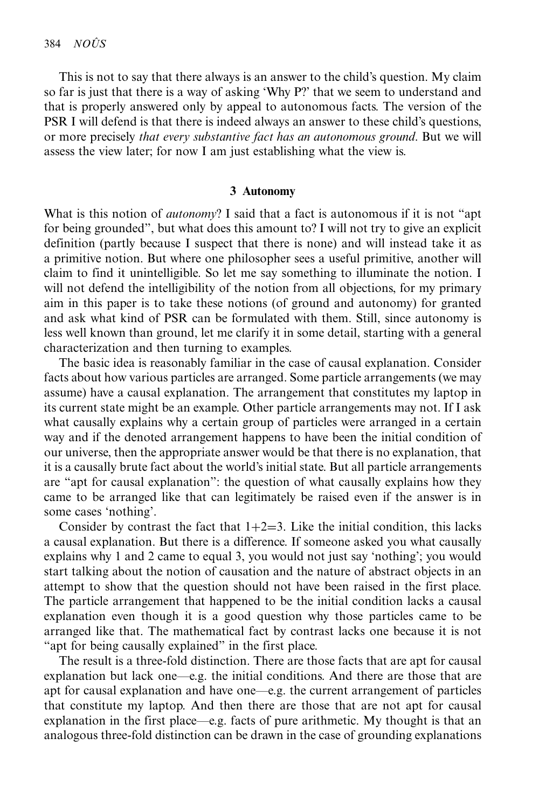This is not to say that there always is an answer to the child's question. My claim so far is just that there is a way of asking 'Why P?' that we seem to understand and that is properly answered only by appeal to autonomous facts. The version of the PSR I will defend is that there is indeed always an answer to these child's questions, or more precisely *that every substantive fact has an autonomous ground*. But we will assess the view later; for now I am just establishing what the view is.

#### **3 Autonomy**

What is this notion of *autonomy*? I said that a fact is autonomous if it is not "apt for being grounded", but what does this amount to? I will not try to give an explicit definition (partly because I suspect that there is none) and will instead take it as a primitive notion. But where one philosopher sees a useful primitive, another will claim to find it unintelligible. So let me say something to illuminate the notion. I will not defend the intelligibility of the notion from all objections, for my primary aim in this paper is to take these notions (of ground and autonomy) for granted and ask what kind of PSR can be formulated with them. Still, since autonomy is less well known than ground, let me clarify it in some detail, starting with a general characterization and then turning to examples.

The basic idea is reasonably familiar in the case of causal explanation. Consider facts about how various particles are arranged. Some particle arrangements (we may assume) have a causal explanation. The arrangement that constitutes my laptop in its current state might be an example. Other particle arrangements may not. If I ask what causally explains why a certain group of particles were arranged in a certain way and if the denoted arrangement happens to have been the initial condition of our universe, then the appropriate answer would be that there is no explanation, that it is a causally brute fact about the world's initial state. But all particle arrangements are "apt for causal explanation": the question of what causally explains how they came to be arranged like that can legitimately be raised even if the answer is in some cases 'nothing'.

Consider by contrast the fact that  $1+2=3$ . Like the initial condition, this lacks a causal explanation. But there is a difference. If someone asked you what causally explains why 1 and 2 came to equal 3, you would not just say 'nothing'; you would start talking about the notion of causation and the nature of abstract objects in an attempt to show that the question should not have been raised in the first place. The particle arrangement that happened to be the initial condition lacks a causal explanation even though it is a good question why those particles came to be arranged like that. The mathematical fact by contrast lacks one because it is not "apt for being causally explained" in the first place.

The result is a three-fold distinction. There are those facts that are apt for causal explanation but lack one—e.g. the initial conditions. And there are those that are apt for causal explanation and have one—e.g. the current arrangement of particles that constitute my laptop. And then there are those that are not apt for causal explanation in the first place—e.g. facts of pure arithmetic. My thought is that an analogous three-fold distinction can be drawn in the case of grounding explanations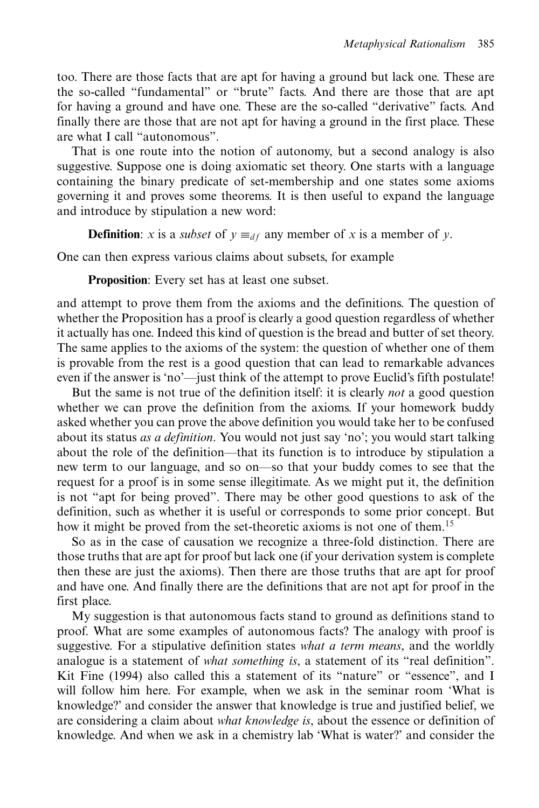too. There are those facts that are apt for having a ground but lack one. These are the so-called "fundamental" or "brute" facts. And there are those that are apt for having a ground and have one. These are the so-called "derivative" facts. And finally there are those that are not apt for having a ground in the first place. These are what I call "autonomous".

That is one route into the notion of autonomy, but a second analogy is also suggestive. Suppose one is doing axiomatic set theory. One starts with a language containing the binary predicate of set-membership and one states some axioms governing it and proves some theorems. It is then useful to expand the language and introduce by stipulation a new word:

**Definition:** *x* is a *subset* of  $y \equiv_{df} q \text{ any member of } x$  is a member of *y*.

One can then express various claims about subsets, for example

**Proposition**: Every set has at least one subset.

and attempt to prove them from the axioms and the definitions. The question of whether the Proposition has a proof is clearly a good question regardless of whether it actually has one. Indeed this kind of question is the bread and butter of set theory. The same applies to the axioms of the system: the question of whether one of them is provable from the rest is a good question that can lead to remarkable advances even if the answer is 'no'—just think of the attempt to prove Euclid's fifth postulate!

But the same is not true of the definition itself: it is clearly *not* a good question whether we can prove the definition from the axioms. If your homework buddy asked whether you can prove the above definition you would take her to be confused about its status *as a definition*. You would not just say 'no'; you would start talking about the role of the definition—that its function is to introduce by stipulation a new term to our language, and so on—so that your buddy comes to see that the request for a proof is in some sense illegitimate. As we might put it, the definition is not "apt for being proved". There may be other good questions to ask of the definition, such as whether it is useful or corresponds to some prior concept. But how it might be proved from the set-theoretic axioms is not one of them.<sup>15</sup>

So as in the case of causation we recognize a three-fold distinction. There are those truths that are apt for proof but lack one (if your derivation system is complete then these are just the axioms). Then there are those truths that are apt for proof and have one. And finally there are the definitions that are not apt for proof in the first place.

My suggestion is that autonomous facts stand to ground as definitions stand to proof. What are some examples of autonomous facts? The analogy with proof is suggestive. For a stipulative definition states *what a term means*, and the worldly analogue is a statement of *what something is*, a statement of its "real definition". Kit Fine (1994) also called this a statement of its "nature" or "essence", and I will follow him here. For example, when we ask in the seminar room 'What is knowledge?' and consider the answer that knowledge is true and justified belief, we are considering a claim about *what knowledge is*, about the essence or definition of knowledge. And when we ask in a chemistry lab 'What is water?' and consider the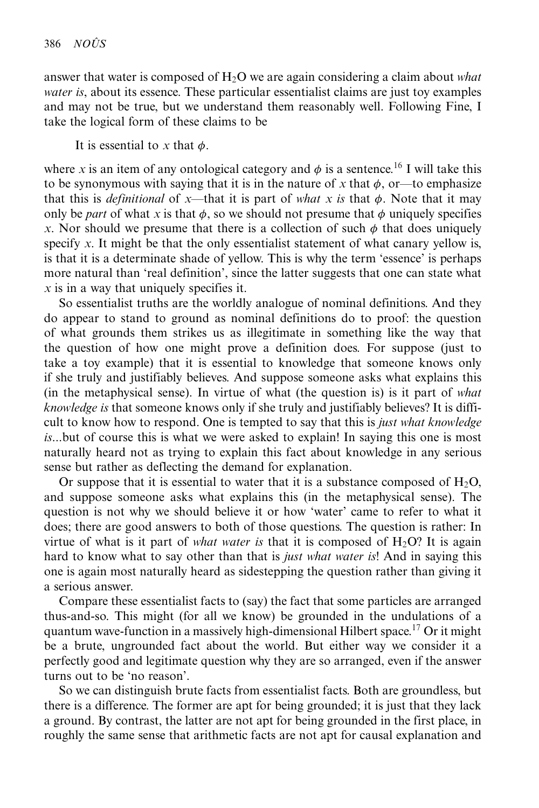answer that water is composed of H2O we are again considering a claim about *what water is*, about its essence. These particular essentialist claims are just toy examples and may not be true, but we understand them reasonably well. Following Fine, I take the logical form of these claims to be

It is essential to x that  $\phi$ .

where *x* is an item of any ontological category and  $\phi$  is a sentence.<sup>16</sup> I will take this to be synonymous with saying that it is in the nature of x that  $\phi$ , or—to emphasize that this is *definitional* of *x*—that it is part of *what* x is that  $\phi$ . Note that it may only be *part* of what *x* is that  $\phi$ , so we should not presume that  $\phi$  uniquely specifies *x*. Nor should we presume that there is a collection of such  $\phi$  that does uniquely specify *x*. It might be that the only essentialist statement of what canary yellow is, is that it is a determinate shade of yellow. This is why the term 'essence' is perhaps more natural than 'real definition', since the latter suggests that one can state what *x* is in a way that uniquely specifies it.

So essentialist truths are the worldly analogue of nominal definitions. And they do appear to stand to ground as nominal definitions do to proof: the question of what grounds them strikes us as illegitimate in something like the way that the question of how one might prove a definition does. For suppose (just to take a toy example) that it is essential to knowledge that someone knows only if she truly and justifiably believes. And suppose someone asks what explains this (in the metaphysical sense). In virtue of what (the question is) is it part of *what knowledge is* that someone knows only if she truly and justifiably believes? It is difficult to know how to respond. One is tempted to say that this is *just what knowledge is*...but of course this is what we were asked to explain! In saying this one is most naturally heard not as trying to explain this fact about knowledge in any serious sense but rather as deflecting the demand for explanation.

Or suppose that it is essential to water that it is a substance composed of  $H_2O$ , and suppose someone asks what explains this (in the metaphysical sense). The question is not why we should believe it or how 'water' came to refer to what it does; there are good answers to both of those questions. The question is rather: In virtue of what is it part of *what water is* that it is composed of  $H_2O$ ? It is again hard to know what to say other than that is *just what water is*! And in saying this one is again most naturally heard as sidestepping the question rather than giving it a serious answer.

Compare these essentialist facts to (say) the fact that some particles are arranged thus-and-so. This might (for all we know) be grounded in the undulations of a quantum wave-function in a massively high-dimensional Hilbert space.17 Or it might be a brute, ungrounded fact about the world. But either way we consider it a perfectly good and legitimate question why they are so arranged, even if the answer turns out to be 'no reason'.

So we can distinguish brute facts from essentialist facts. Both are groundless, but there is a difference. The former are apt for being grounded; it is just that they lack a ground. By contrast, the latter are not apt for being grounded in the first place, in roughly the same sense that arithmetic facts are not apt for causal explanation and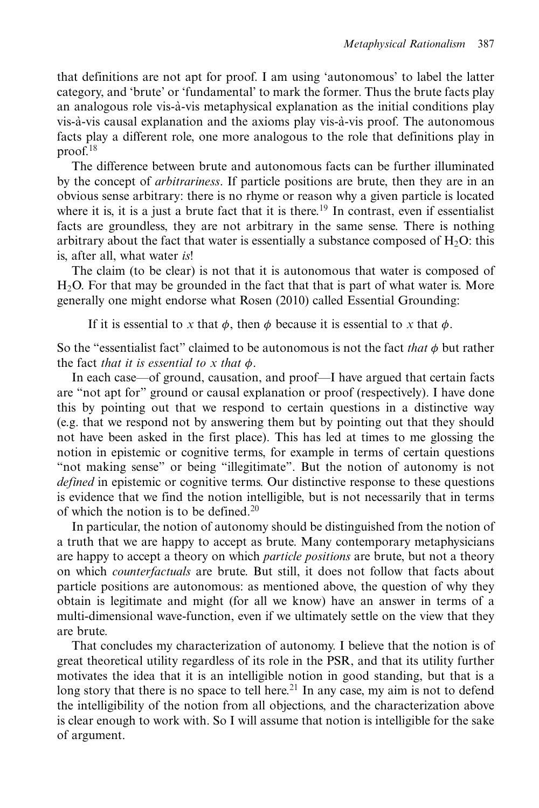that definitions are not apt for proof. I am using 'autonomous' to label the latter category, and 'brute' or 'fundamental' to mark the former. Thus the brute facts play an analogous role vis-a-vis metaphysical explanation as the initial conditions play `  $vis-\hat{a}-vis$  causal explanation and the axioms play vis- $\hat{a}-vis$  proof. The autonomous facts play a different role, one more analogous to the role that definitions play in proof. $18$ 

The difference between brute and autonomous facts can be further illuminated by the concept of *arbitrariness*. If particle positions are brute, then they are in an obvious sense arbitrary: there is no rhyme or reason why a given particle is located where it is, it is a just a brute fact that it is there.<sup>19</sup> In contrast, even if essentialist facts are groundless, they are not arbitrary in the same sense. There is nothing arbitrary about the fact that water is essentially a substance composed of  $H_2O$ : this is, after all, what water *is*!

The claim (to be clear) is not that it is autonomous that water is composed of  $H<sub>2</sub>O$ . For that may be grounded in the fact that that is part of what water is. More generally one might endorse what Rosen (2010) called Essential Grounding:

If it is essential to *x* that  $\phi$ , then  $\phi$  because it is essential to *x* that  $\phi$ .

So the "essentialist fact" claimed to be autonomous is not the fact *that* φ but rather the fact *that it is essential to x that* φ.

In each case—of ground, causation, and proof—I have argued that certain facts are "not apt for" ground or causal explanation or proof (respectively). I have done this by pointing out that we respond to certain questions in a distinctive way (e.g. that we respond not by answering them but by pointing out that they should not have been asked in the first place). This has led at times to me glossing the notion in epistemic or cognitive terms, for example in terms of certain questions "not making sense" or being "illegitimate". But the notion of autonomy is not *defined* in epistemic or cognitive terms. Our distinctive response to these questions is evidence that we find the notion intelligible, but is not necessarily that in terms of which the notion is to be defined.20

In particular, the notion of autonomy should be distinguished from the notion of a truth that we are happy to accept as brute. Many contemporary metaphysicians are happy to accept a theory on which *particle positions* are brute, but not a theory on which *counterfactuals* are brute. But still, it does not follow that facts about particle positions are autonomous: as mentioned above, the question of why they obtain is legitimate and might (for all we know) have an answer in terms of a multi-dimensional wave-function, even if we ultimately settle on the view that they are brute.

That concludes my characterization of autonomy. I believe that the notion is of great theoretical utility regardless of its role in the PSR, and that its utility further motivates the idea that it is an intelligible notion in good standing, but that is a long story that there is no space to tell here.<sup>21</sup> In any case, my aim is not to defend the intelligibility of the notion from all objections, and the characterization above is clear enough to work with. So I will assume that notion is intelligible for the sake of argument.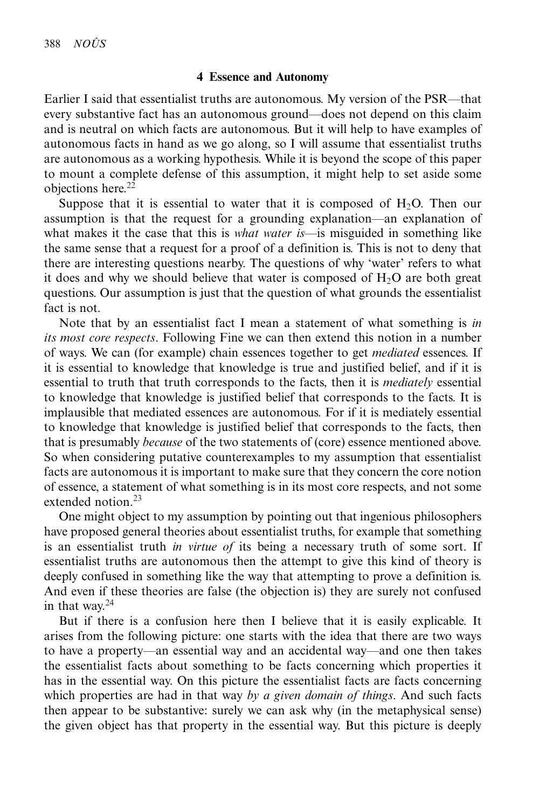# **4 Essence and Autonomy**

Earlier I said that essentialist truths are autonomous. My version of the PSR—that every substantive fact has an autonomous ground—does not depend on this claim and is neutral on which facts are autonomous. But it will help to have examples of autonomous facts in hand as we go along, so I will assume that essentialist truths are autonomous as a working hypothesis. While it is beyond the scope of this paper to mount a complete defense of this assumption, it might help to set aside some objections here.<sup>22</sup>

Suppose that it is essential to water that it is composed of  $H_2O$ . Then our assumption is that the request for a grounding explanation—an explanation of what makes it the case that this is *what water is*—is misguided in something like the same sense that a request for a proof of a definition is. This is not to deny that there are interesting questions nearby. The questions of why 'water' refers to what it does and why we should believe that water is composed of  $H_2O$  are both great questions. Our assumption is just that the question of what grounds the essentialist fact is not.

Note that by an essentialist fact I mean a statement of what something is *in its most core respects*. Following Fine we can then extend this notion in a number of ways. We can (for example) chain essences together to get *mediated* essences. If it is essential to knowledge that knowledge is true and justified belief, and if it is essential to truth that truth corresponds to the facts, then it is *mediately* essential to knowledge that knowledge is justified belief that corresponds to the facts. It is implausible that mediated essences are autonomous. For if it is mediately essential to knowledge that knowledge is justified belief that corresponds to the facts, then that is presumably *because* of the two statements of (core) essence mentioned above. So when considering putative counterexamples to my assumption that essentialist facts are autonomous it is important to make sure that they concern the core notion of essence, a statement of what something is in its most core respects, and not some extended notion.<sup>23</sup>

One might object to my assumption by pointing out that ingenious philosophers have proposed general theories about essentialist truths, for example that something is an essentialist truth *in virtue of* its being a necessary truth of some sort. If essentialist truths are autonomous then the attempt to give this kind of theory is deeply confused in something like the way that attempting to prove a definition is. And even if these theories are false (the objection is) they are surely not confused in that way. $24$ 

But if there is a confusion here then I believe that it is easily explicable. It arises from the following picture: one starts with the idea that there are two ways to have a property—an essential way and an accidental way—and one then takes the essentialist facts about something to be facts concerning which properties it has in the essential way. On this picture the essentialist facts are facts concerning which properties are had in that way *by a given domain of things*. And such facts then appear to be substantive: surely we can ask why (in the metaphysical sense) the given object has that property in the essential way. But this picture is deeply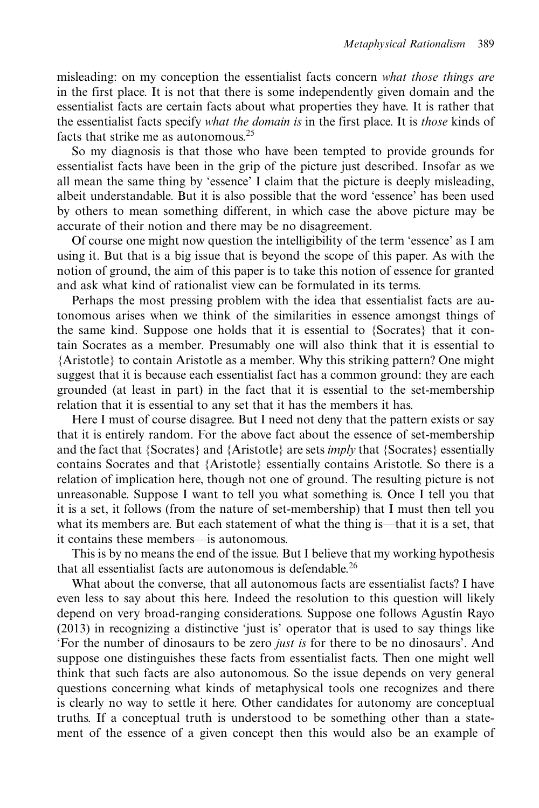misleading: on my conception the essentialist facts concern *what those things are* in the first place. It is not that there is some independently given domain and the essentialist facts are certain facts about what properties they have. It is rather that the essentialist facts specify *what the domain is* in the first place. It is *those* kinds of facts that strike me as autonomous.<sup>25</sup>

So my diagnosis is that those who have been tempted to provide grounds for essentialist facts have been in the grip of the picture just described. Insofar as we all mean the same thing by 'essence' I claim that the picture is deeply misleading, albeit understandable. But it is also possible that the word 'essence' has been used by others to mean something different, in which case the above picture may be accurate of their notion and there may be no disagreement.

Of course one might now question the intelligibility of the term 'essence' as I am using it. But that is a big issue that is beyond the scope of this paper. As with the notion of ground, the aim of this paper is to take this notion of essence for granted and ask what kind of rationalist view can be formulated in its terms.

Perhaps the most pressing problem with the idea that essentialist facts are autonomous arises when we think of the similarities in essence amongst things of the same kind. Suppose one holds that it is essential to {Socrates} that it contain Socrates as a member. Presumably one will also think that it is essential to {Aristotle} to contain Aristotle as a member. Why this striking pattern? One might suggest that it is because each essentialist fact has a common ground: they are each grounded (at least in part) in the fact that it is essential to the set-membership relation that it is essential to any set that it has the members it has.

Here I must of course disagree. But I need not deny that the pattern exists or say that it is entirely random. For the above fact about the essence of set-membership and the fact that {Socrates} and {Aristotle} are sets *imply* that {Socrates} essentially contains Socrates and that {Aristotle} essentially contains Aristotle. So there is a relation of implication here, though not one of ground. The resulting picture is not unreasonable. Suppose I want to tell you what something is. Once I tell you that it is a set, it follows (from the nature of set-membership) that I must then tell you what its members are. But each statement of what the thing is—that it is a set, that it contains these members—is autonomous.

This is by no means the end of the issue. But I believe that my working hypothesis that all essentialist facts are autonomous is defendable.<sup>26</sup>

What about the converse, that all autonomous facts are essentialist facts? I have even less to say about this here. Indeed the resolution to this question will likely depend on very broad-ranging considerations. Suppose one follows Agustín Rayo (2013) in recognizing a distinctive 'just is' operator that is used to say things like 'For the number of dinosaurs to be zero *just is* for there to be no dinosaurs'. And suppose one distinguishes these facts from essentialist facts. Then one might well think that such facts are also autonomous. So the issue depends on very general questions concerning what kinds of metaphysical tools one recognizes and there is clearly no way to settle it here. Other candidates for autonomy are conceptual truths. If a conceptual truth is understood to be something other than a statement of the essence of a given concept then this would also be an example of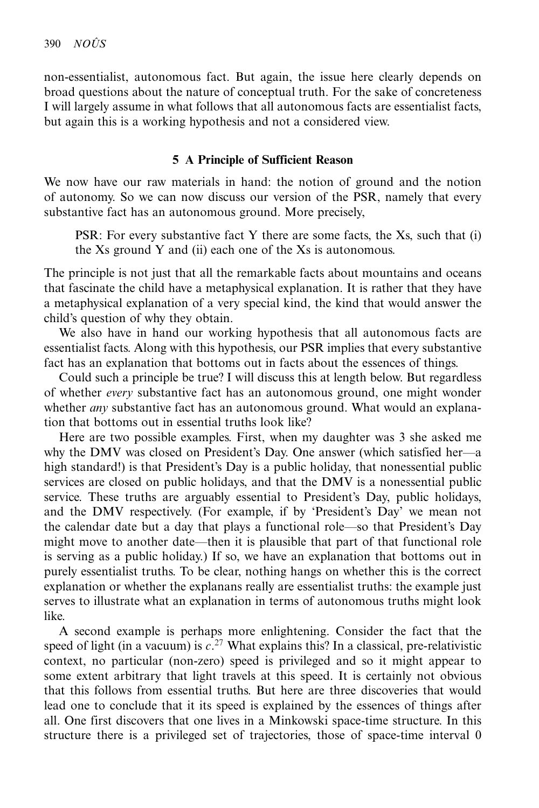non-essentialist, autonomous fact. But again, the issue here clearly depends on broad questions about the nature of conceptual truth. For the sake of concreteness I will largely assume in what follows that all autonomous facts are essentialist facts, but again this is a working hypothesis and not a considered view.

# **5 A Principle of Sufficient Reason**

We now have our raw materials in hand: the notion of ground and the notion of autonomy. So we can now discuss our version of the PSR, namely that every substantive fact has an autonomous ground. More precisely,

PSR: For every substantive fact Y there are some facts, the Xs, such that (i) the Xs ground Y and (ii) each one of the Xs is autonomous.

The principle is not just that all the remarkable facts about mountains and oceans that fascinate the child have a metaphysical explanation. It is rather that they have a metaphysical explanation of a very special kind, the kind that would answer the child's question of why they obtain.

We also have in hand our working hypothesis that all autonomous facts are essentialist facts. Along with this hypothesis, our PSR implies that every substantive fact has an explanation that bottoms out in facts about the essences of things.

Could such a principle be true? I will discuss this at length below. But regardless of whether *every* substantive fact has an autonomous ground, one might wonder whether *any* substantive fact has an autonomous ground. What would an explanation that bottoms out in essential truths look like?

Here are two possible examples. First, when my daughter was 3 she asked me why the DMV was closed on President's Day. One answer (which satisfied her—a high standard!) is that President's Day is a public holiday, that nonessential public services are closed on public holidays, and that the DMV is a nonessential public service. These truths are arguably essential to President's Day, public holidays, and the DMV respectively. (For example, if by 'President's Day' we mean not the calendar date but a day that plays a functional role—so that President's Day might move to another date—then it is plausible that part of that functional role is serving as a public holiday.) If so, we have an explanation that bottoms out in purely essentialist truths. To be clear, nothing hangs on whether this is the correct explanation or whether the explanans really are essentialist truths: the example just serves to illustrate what an explanation in terms of autonomous truths might look like.

A second example is perhaps more enlightening. Consider the fact that the speed of light (in a vacuum) is *c*. <sup>27</sup> What explains this? In a classical, pre-relativistic context, no particular (non-zero) speed is privileged and so it might appear to some extent arbitrary that light travels at this speed. It is certainly not obvious that this follows from essential truths. But here are three discoveries that would lead one to conclude that it its speed is explained by the essences of things after all. One first discovers that one lives in a Minkowski space-time structure. In this structure there is a privileged set of trajectories, those of space-time interval 0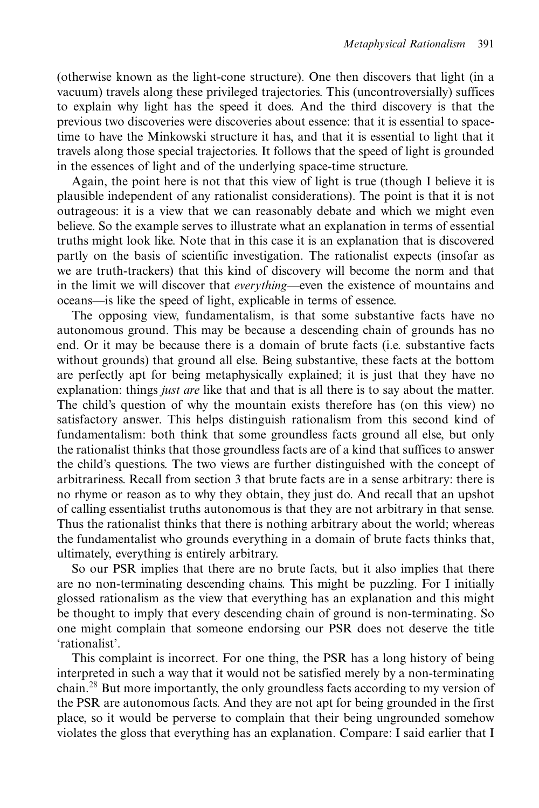(otherwise known as the light-cone structure). One then discovers that light (in a vacuum) travels along these privileged trajectories. This (uncontroversially) suffices to explain why light has the speed it does. And the third discovery is that the previous two discoveries were discoveries about essence: that it is essential to spacetime to have the Minkowski structure it has, and that it is essential to light that it travels along those special trajectories. It follows that the speed of light is grounded in the essences of light and of the underlying space-time structure.

Again, the point here is not that this view of light is true (though I believe it is plausible independent of any rationalist considerations). The point is that it is not outrageous: it is a view that we can reasonably debate and which we might even believe. So the example serves to illustrate what an explanation in terms of essential truths might look like. Note that in this case it is an explanation that is discovered partly on the basis of scientific investigation. The rationalist expects (insofar as we are truth-trackers) that this kind of discovery will become the norm and that in the limit we will discover that *everything*—even the existence of mountains and oceans—is like the speed of light, explicable in terms of essence.

The opposing view, fundamentalism, is that some substantive facts have no autonomous ground. This may be because a descending chain of grounds has no end. Or it may be because there is a domain of brute facts (i.e. substantive facts without grounds) that ground all else. Being substantive, these facts at the bottom are perfectly apt for being metaphysically explained; it is just that they have no explanation: things *just are* like that and that is all there is to say about the matter. The child's question of why the mountain exists therefore has (on this view) no satisfactory answer. This helps distinguish rationalism from this second kind of fundamentalism: both think that some groundless facts ground all else, but only the rationalist thinks that those groundless facts are of a kind that suffices to answer the child's questions. The two views are further distinguished with the concept of arbitrariness. Recall from section 3 that brute facts are in a sense arbitrary: there is no rhyme or reason as to why they obtain, they just do. And recall that an upshot of calling essentialist truths autonomous is that they are not arbitrary in that sense. Thus the rationalist thinks that there is nothing arbitrary about the world; whereas the fundamentalist who grounds everything in a domain of brute facts thinks that, ultimately, everything is entirely arbitrary.

So our PSR implies that there are no brute facts, but it also implies that there are no non-terminating descending chains. This might be puzzling. For I initially glossed rationalism as the view that everything has an explanation and this might be thought to imply that every descending chain of ground is non-terminating. So one might complain that someone endorsing our PSR does not deserve the title 'rationalist'.

This complaint is incorrect. For one thing, the PSR has a long history of being interpreted in such a way that it would not be satisfied merely by a non-terminating chain.<sup>28</sup> But more importantly, the only groundless facts according to my version of the PSR are autonomous facts. And they are not apt for being grounded in the first place, so it would be perverse to complain that their being ungrounded somehow violates the gloss that everything has an explanation. Compare: I said earlier that I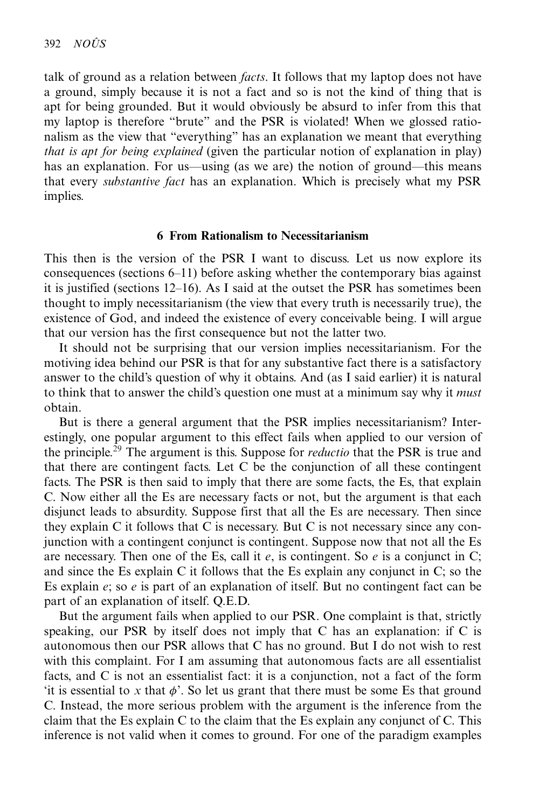talk of ground as a relation between *facts*. It follows that my laptop does not have a ground, simply because it is not a fact and so is not the kind of thing that is apt for being grounded. But it would obviously be absurd to infer from this that my laptop is therefore "brute" and the PSR is violated! When we glossed rationalism as the view that "everything" has an explanation we meant that everything *that is apt for being explained* (given the particular notion of explanation in play) has an explanation. For us—using (as we are) the notion of ground—this means that every *substantive fact* has an explanation. Which is precisely what my PSR implies.

#### **6 From Rationalism to Necessitarianism**

This then is the version of the PSR I want to discuss. Let us now explore its consequences (sections 6–11) before asking whether the contemporary bias against it is justified (sections 12–16). As I said at the outset the PSR has sometimes been thought to imply necessitarianism (the view that every truth is necessarily true), the existence of God, and indeed the existence of every conceivable being. I will argue that our version has the first consequence but not the latter two.

It should not be surprising that our version implies necessitarianism. For the motiving idea behind our PSR is that for any substantive fact there is a satisfactory answer to the child's question of why it obtains. And (as I said earlier) it is natural to think that to answer the child's question one must at a minimum say why it *must* obtain.

But is there a general argument that the PSR implies necessitarianism? Interestingly, one popular argument to this effect fails when applied to our version of the principle.<sup>29</sup> The argument is this. Suppose for *reductio* that the PSR is true and that there are contingent facts. Let C be the conjunction of all these contingent facts. The PSR is then said to imply that there are some facts, the Es, that explain C. Now either all the Es are necessary facts or not, but the argument is that each disjunct leads to absurdity. Suppose first that all the Es are necessary. Then since they explain C it follows that C is necessary. But C is not necessary since any conjunction with a contingent conjunct is contingent. Suppose now that not all the Es are necessary. Then one of the Es, call it *e*, is contingent. So *e* is a conjunct in C; and since the Es explain C it follows that the Es explain any conjunct in C; so the Es explain *e*; so *e* is part of an explanation of itself. But no contingent fact can be part of an explanation of itself. Q.E.D.

But the argument fails when applied to our PSR. One complaint is that, strictly speaking, our PSR by itself does not imply that C has an explanation: if C is autonomous then our PSR allows that C has no ground. But I do not wish to rest with this complaint. For I am assuming that autonomous facts are all essentialist facts, and C is not an essentialist fact: it is a conjunction, not a fact of the form 'it is essential to *x* that  $\phi$ '. So let us grant that there must be some Es that ground C. Instead, the more serious problem with the argument is the inference from the claim that the Es explain C to the claim that the Es explain any conjunct of C. This inference is not valid when it comes to ground. For one of the paradigm examples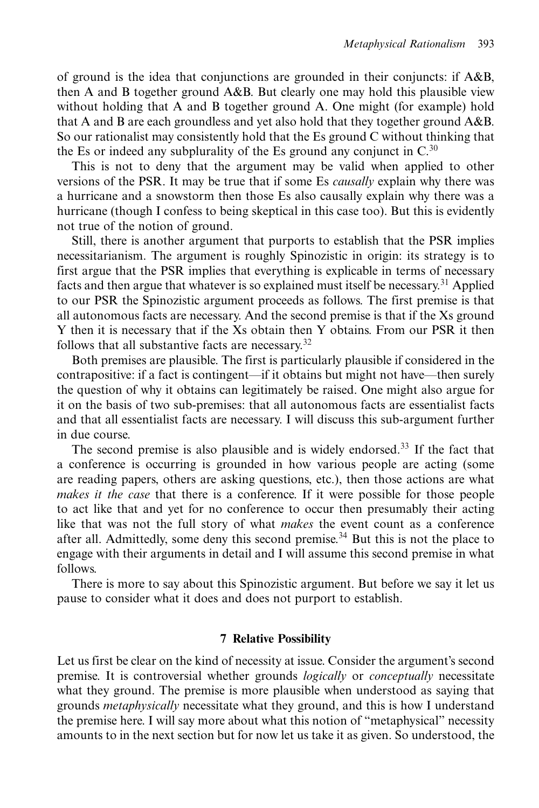of ground is the idea that conjunctions are grounded in their conjuncts: if A&B, then A and B together ground A&B. But clearly one may hold this plausible view without holding that A and B together ground A. One might (for example) hold that A and B are each groundless and yet also hold that they together ground A&B. So our rationalist may consistently hold that the Es ground C without thinking that the Es or indeed any subplurality of the Es ground any conjunct in  $C<sup>30</sup>$ 

This is not to deny that the argument may be valid when applied to other versions of the PSR. It may be true that if some Es *causally* explain why there was a hurricane and a snowstorm then those Es also causally explain why there was a hurricane (though I confess to being skeptical in this case too). But this is evidently not true of the notion of ground.

Still, there is another argument that purports to establish that the PSR implies necessitarianism. The argument is roughly Spinozistic in origin: its strategy is to first argue that the PSR implies that everything is explicable in terms of necessary facts and then argue that whatever is so explained must itself be necessary.<sup>31</sup> Applied to our PSR the Spinozistic argument proceeds as follows. The first premise is that all autonomous facts are necessary. And the second premise is that if the Xs ground Y then it is necessary that if the Xs obtain then Y obtains. From our PSR it then follows that all substantive facts are necessary. $32$ 

Both premises are plausible. The first is particularly plausible if considered in the contrapositive: if a fact is contingent—if it obtains but might not have—then surely the question of why it obtains can legitimately be raised. One might also argue for it on the basis of two sub-premises: that all autonomous facts are essentialist facts and that all essentialist facts are necessary. I will discuss this sub-argument further in due course.

The second premise is also plausible and is widely endorsed.<sup>33</sup> If the fact that a conference is occurring is grounded in how various people are acting (some are reading papers, others are asking questions, etc.), then those actions are what *makes it the case* that there is a conference. If it were possible for those people to act like that and yet for no conference to occur then presumably their acting like that was not the full story of what *makes* the event count as a conference after all. Admittedly, some deny this second premise.<sup>34</sup> But this is not the place to engage with their arguments in detail and I will assume this second premise in what follows.

There is more to say about this Spinozistic argument. But before we say it let us pause to consider what it does and does not purport to establish.

#### **7 Relative Possibility**

Let us first be clear on the kind of necessity at issue. Consider the argument's second premise. It is controversial whether grounds *logically* or *conceptually* necessitate what they ground. The premise is more plausible when understood as saying that grounds *metaphysically* necessitate what they ground, and this is how I understand the premise here. I will say more about what this notion of "metaphysical" necessity amounts to in the next section but for now let us take it as given. So understood, the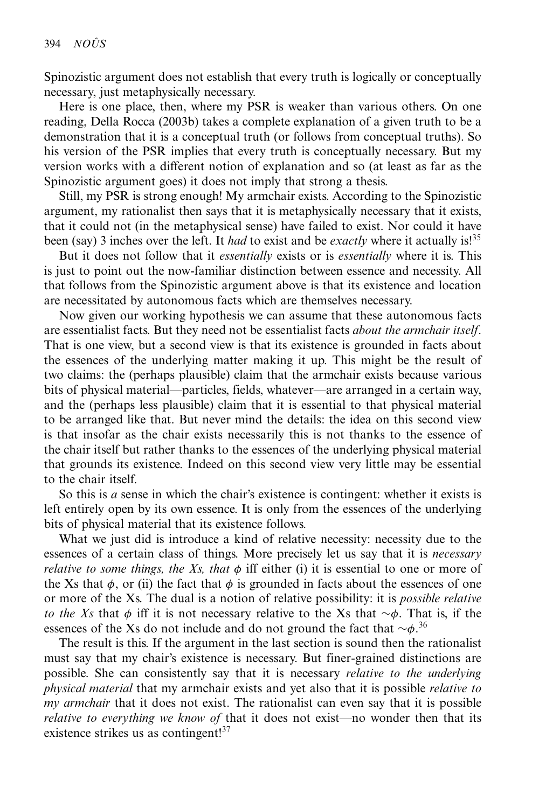Spinozistic argument does not establish that every truth is logically or conceptually necessary, just metaphysically necessary.

Here is one place, then, where my PSR is weaker than various others. On one reading, Della Rocca (2003b) takes a complete explanation of a given truth to be a demonstration that it is a conceptual truth (or follows from conceptual truths). So his version of the PSR implies that every truth is conceptually necessary. But my version works with a different notion of explanation and so (at least as far as the Spinozistic argument goes) it does not imply that strong a thesis.

Still, my PSR is strong enough! My armchair exists. According to the Spinozistic argument, my rationalist then says that it is metaphysically necessary that it exists, that it could not (in the metaphysical sense) have failed to exist. Nor could it have been (say) 3 inches over the left. It *had* to exist and be *exactly* where it actually is!35

But it does not follow that it *essentially* exists or is *essentially* where it is. This is just to point out the now-familiar distinction between essence and necessity. All that follows from the Spinozistic argument above is that its existence and location are necessitated by autonomous facts which are themselves necessary.

Now given our working hypothesis we can assume that these autonomous facts are essentialist facts. But they need not be essentialist facts *about the armchair itself*. That is one view, but a second view is that its existence is grounded in facts about the essences of the underlying matter making it up. This might be the result of two claims: the (perhaps plausible) claim that the armchair exists because various bits of physical material—particles, fields, whatever—are arranged in a certain way, and the (perhaps less plausible) claim that it is essential to that physical material to be arranged like that. But never mind the details: the idea on this second view is that insofar as the chair exists necessarily this is not thanks to the essence of the chair itself but rather thanks to the essences of the underlying physical material that grounds its existence. Indeed on this second view very little may be essential to the chair itself.

So this is *a* sense in which the chair's existence is contingent: whether it exists is left entirely open by its own essence. It is only from the essences of the underlying bits of physical material that its existence follows.

What we just did is introduce a kind of relative necessity: necessity due to the essences of a certain class of things. More precisely let us say that it is *necessary relative to some things, the Xs, that*  $\phi$  iff either (i) it is essential to one or more of the Xs that  $\phi$ , or (ii) the fact that  $\phi$  is grounded in facts about the essences of one or more of the Xs. The dual is a notion of relative possibility: it is *possible relative to the Xs* that  $\phi$  iff it is not necessary relative to the Xs that ∼ $\phi$ . That is, if the essences of the Xs do not include and do not ground the fact that  $\sim \phi$ .<sup>36</sup>

The result is this. If the argument in the last section is sound then the rationalist must say that my chair's existence is necessary. But finer-grained distinctions are possible. She can consistently say that it is necessary *relative to the underlying physical material* that my armchair exists and yet also that it is possible *relative to my armchair* that it does not exist. The rationalist can even say that it is possible *relative to everything we know of* that it does not exist—no wonder then that its existence strikes us as contingent!<sup>37</sup>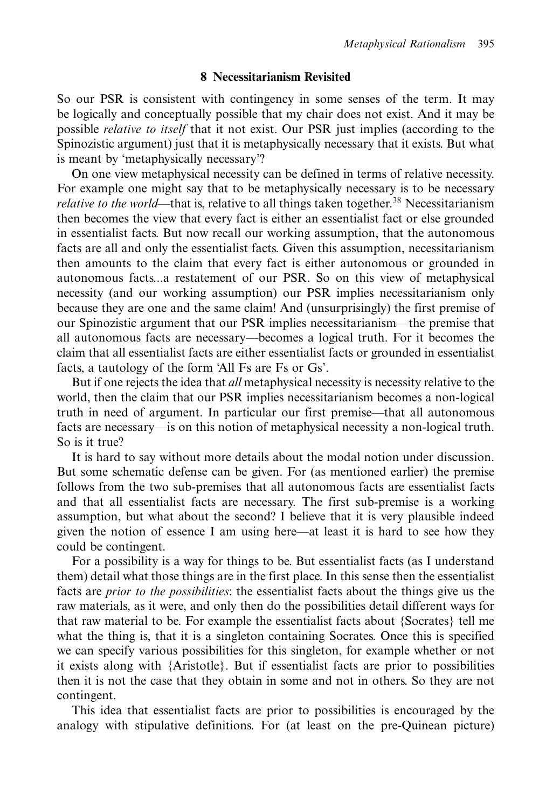# **8 Necessitarianism Revisited**

So our PSR is consistent with contingency in some senses of the term. It may be logically and conceptually possible that my chair does not exist. And it may be possible *relative to itself* that it not exist. Our PSR just implies (according to the Spinozistic argument) just that it is metaphysically necessary that it exists. But what is meant by 'metaphysically necessary'?

On one view metaphysical necessity can be defined in terms of relative necessity. For example one might say that to be metaphysically necessary is to be necessary *relative to the world*—that is, relative to all things taken together.<sup>38</sup> Necessitarianism then becomes the view that every fact is either an essentialist fact or else grounded in essentialist facts. But now recall our working assumption, that the autonomous facts are all and only the essentialist facts. Given this assumption, necessitarianism then amounts to the claim that every fact is either autonomous or grounded in autonomous facts...a restatement of our PSR. So on this view of metaphysical necessity (and our working assumption) our PSR implies necessitarianism only because they are one and the same claim! And (unsurprisingly) the first premise of our Spinozistic argument that our PSR implies necessitarianism—the premise that all autonomous facts are necessary—becomes a logical truth. For it becomes the claim that all essentialist facts are either essentialist facts or grounded in essentialist facts, a tautology of the form 'All Fs are Fs or Gs'.

But if one rejects the idea that *all* metaphysical necessity is necessity relative to the world, then the claim that our PSR implies necessitarianism becomes a non-logical truth in need of argument. In particular our first premise—that all autonomous facts are necessary—is on this notion of metaphysical necessity a non-logical truth. So is it true?

It is hard to say without more details about the modal notion under discussion. But some schematic defense can be given. For (as mentioned earlier) the premise follows from the two sub-premises that all autonomous facts are essentialist facts and that all essentialist facts are necessary. The first sub-premise is a working assumption, but what about the second? I believe that it is very plausible indeed given the notion of essence I am using here—at least it is hard to see how they could be contingent.

For a possibility is a way for things to be. But essentialist facts (as I understand them) detail what those things are in the first place. In this sense then the essentialist facts are *prior to the possibilities*: the essentialist facts about the things give us the raw materials, as it were, and only then do the possibilities detail different ways for that raw material to be. For example the essentialist facts about {Socrates} tell me what the thing is, that it is a singleton containing Socrates. Once this is specified we can specify various possibilities for this singleton, for example whether or not it exists along with {Aristotle}. But if essentialist facts are prior to possibilities then it is not the case that they obtain in some and not in others. So they are not contingent.

This idea that essentialist facts are prior to possibilities is encouraged by the analogy with stipulative definitions. For (at least on the pre-Quinean picture)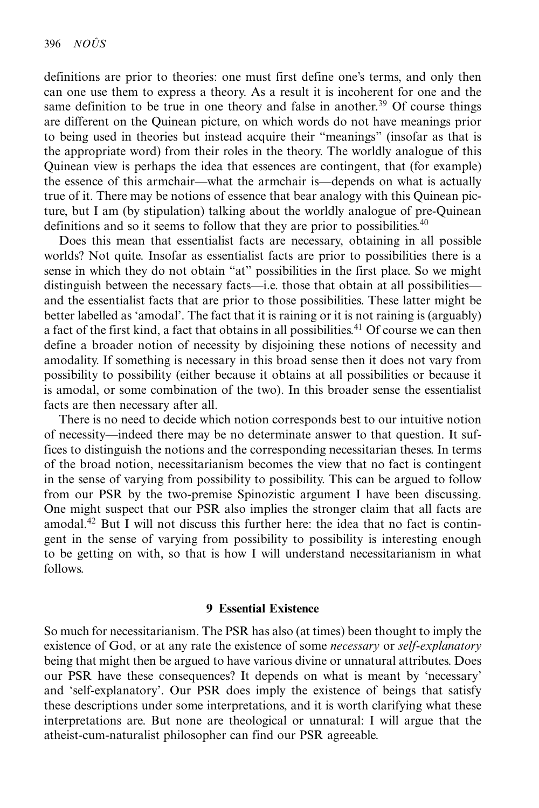definitions are prior to theories: one must first define one's terms, and only then can one use them to express a theory. As a result it is incoherent for one and the same definition to be true in one theory and false in another.<sup>39</sup> Of course things are different on the Quinean picture, on which words do not have meanings prior to being used in theories but instead acquire their "meanings" (insofar as that is the appropriate word) from their roles in the theory. The worldly analogue of this Quinean view is perhaps the idea that essences are contingent, that (for example) the essence of this armchair—what the armchair is—depends on what is actually true of it. There may be notions of essence that bear analogy with this Quinean picture, but I am (by stipulation) talking about the worldly analogue of pre-Quinean definitions and so it seems to follow that they are prior to possibilities.<sup>40</sup>

Does this mean that essentialist facts are necessary, obtaining in all possible worlds? Not quite. Insofar as essentialist facts are prior to possibilities there is a sense in which they do not obtain "at" possibilities in the first place. So we might distinguish between the necessary facts—i.e. those that obtain at all possibilities and the essentialist facts that are prior to those possibilities. These latter might be better labelled as 'amodal'. The fact that it is raining or it is not raining is (arguably) a fact of the first kind, a fact that obtains in all possibilities.<sup>41</sup> Of course we can then define a broader notion of necessity by disjoining these notions of necessity and amodality. If something is necessary in this broad sense then it does not vary from possibility to possibility (either because it obtains at all possibilities or because it is amodal, or some combination of the two). In this broader sense the essentialist facts are then necessary after all.

There is no need to decide which notion corresponds best to our intuitive notion of necessity—indeed there may be no determinate answer to that question. It suffices to distinguish the notions and the corresponding necessitarian theses. In terms of the broad notion, necessitarianism becomes the view that no fact is contingent in the sense of varying from possibility to possibility. This can be argued to follow from our PSR by the two-premise Spinozistic argument I have been discussing. One might suspect that our PSR also implies the stronger claim that all facts are amodal.<sup>42</sup> But I will not discuss this further here: the idea that no fact is contingent in the sense of varying from possibility to possibility is interesting enough to be getting on with, so that is how I will understand necessitarianism in what follows.

#### **9 Essential Existence**

So much for necessitarianism. The PSR has also (at times) been thought to imply the existence of God, or at any rate the existence of some *necessary* or *self-explanatory* being that might then be argued to have various divine or unnatural attributes. Does our PSR have these consequences? It depends on what is meant by 'necessary' and 'self-explanatory'. Our PSR does imply the existence of beings that satisfy these descriptions under some interpretations, and it is worth clarifying what these interpretations are. But none are theological or unnatural: I will argue that the atheist-cum-naturalist philosopher can find our PSR agreeable.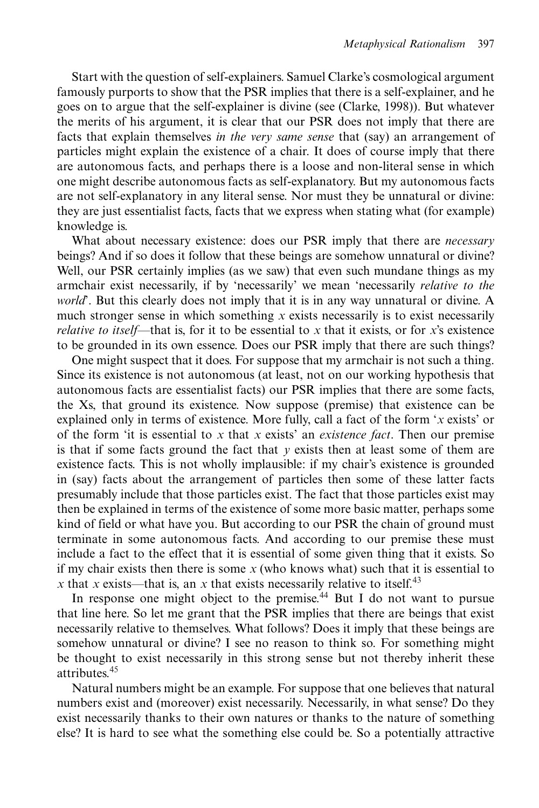Start with the question of self-explainers. Samuel Clarke's cosmological argument famously purports to show that the PSR implies that there is a self-explainer, and he goes on to argue that the self-explainer is divine (see (Clarke, 1998)). But whatever the merits of his argument, it is clear that our PSR does not imply that there are facts that explain themselves *in the very same sense* that (say) an arrangement of particles might explain the existence of a chair. It does of course imply that there are autonomous facts, and perhaps there is a loose and non-literal sense in which one might describe autonomous facts as self-explanatory. But my autonomous facts are not self-explanatory in any literal sense. Nor must they be unnatural or divine: they are just essentialist facts, facts that we express when stating what (for example) knowledge is.

What about necessary existence: does our PSR imply that there are *necessary* beings? And if so does it follow that these beings are somehow unnatural or divine? Well, our PSR certainly implies (as we saw) that even such mundane things as my armchair exist necessarily, if by 'necessarily' we mean 'necessarily *relative to the world*'. But this clearly does not imply that it is in any way unnatural or divine. A much stronger sense in which something  $x$  exists necessarily is to exist necessarily *relative to itself*—that is, for it to be essential to *x* that it exists, or for *x*'s existence to be grounded in its own essence. Does our PSR imply that there are such things?

One might suspect that it does. For suppose that my armchair is not such a thing. Since its existence is not autonomous (at least, not on our working hypothesis that autonomous facts are essentialist facts) our PSR implies that there are some facts, the Xs, that ground its existence. Now suppose (premise) that existence can be explained only in terms of existence. More fully, call a fact of the form '*x* exists' or of the form 'it is essential to *x* that *x* exists' an *existence fact*. Then our premise is that if some facts ground the fact that *y* exists then at least some of them are existence facts. This is not wholly implausible: if my chair's existence is grounded in (say) facts about the arrangement of particles then some of these latter facts presumably include that those particles exist. The fact that those particles exist may then be explained in terms of the existence of some more basic matter, perhaps some kind of field or what have you. But according to our PSR the chain of ground must terminate in some autonomous facts. And according to our premise these must include a fact to the effect that it is essential of some given thing that it exists. So if my chair exists then there is some *x* (who knows what) such that it is essential to *x* that *x* exists—that is, an *x* that exists necessarily relative to itself.<sup>43</sup>

In response one might object to the premise. $^{44}$  But I do not want to pursue that line here. So let me grant that the PSR implies that there are beings that exist necessarily relative to themselves. What follows? Does it imply that these beings are somehow unnatural or divine? I see no reason to think so. For something might be thought to exist necessarily in this strong sense but not thereby inherit these attributes.<sup>45</sup>

Natural numbers might be an example. For suppose that one believes that natural numbers exist and (moreover) exist necessarily. Necessarily, in what sense? Do they exist necessarily thanks to their own natures or thanks to the nature of something else? It is hard to see what the something else could be. So a potentially attractive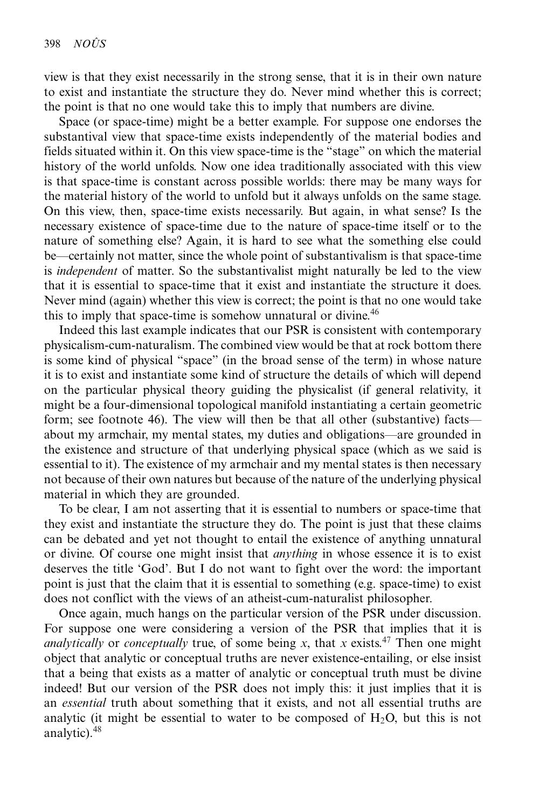view is that they exist necessarily in the strong sense, that it is in their own nature to exist and instantiate the structure they do. Never mind whether this is correct; the point is that no one would take this to imply that numbers are divine.

Space (or space-time) might be a better example. For suppose one endorses the substantival view that space-time exists independently of the material bodies and fields situated within it. On this view space-time is the "stage" on which the material history of the world unfolds. Now one idea traditionally associated with this view is that space-time is constant across possible worlds: there may be many ways for the material history of the world to unfold but it always unfolds on the same stage. On this view, then, space-time exists necessarily. But again, in what sense? Is the necessary existence of space-time due to the nature of space-time itself or to the nature of something else? Again, it is hard to see what the something else could be—certainly not matter, since the whole point of substantivalism is that space-time is *independent* of matter. So the substantivalist might naturally be led to the view that it is essential to space-time that it exist and instantiate the structure it does. Never mind (again) whether this view is correct; the point is that no one would take this to imply that space-time is somehow unnatural or divine.<sup>46</sup>

Indeed this last example indicates that our PSR is consistent with contemporary physicalism-cum-naturalism. The combined view would be that at rock bottom there is some kind of physical "space" (in the broad sense of the term) in whose nature it is to exist and instantiate some kind of structure the details of which will depend on the particular physical theory guiding the physicalist (if general relativity, it might be a four-dimensional topological manifold instantiating a certain geometric form; see footnote 46). The view will then be that all other (substantive) facts about my armchair, my mental states, my duties and obligations—are grounded in the existence and structure of that underlying physical space (which as we said is essential to it). The existence of my armchair and my mental states is then necessary not because of their own natures but because of the nature of the underlying physical material in which they are grounded.

To be clear, I am not asserting that it is essential to numbers or space-time that they exist and instantiate the structure they do. The point is just that these claims can be debated and yet not thought to entail the existence of anything unnatural or divine. Of course one might insist that *anything* in whose essence it is to exist deserves the title 'God'. But I do not want to fight over the word: the important point is just that the claim that it is essential to something (e.g. space-time) to exist does not conflict with the views of an atheist-cum-naturalist philosopher.

Once again, much hangs on the particular version of the PSR under discussion. For suppose one were considering a version of the PSR that implies that it is *analytically* or *conceptually* true, of some being *x*, that *x* exists.<sup>47</sup> Then one might object that analytic or conceptual truths are never existence-entailing, or else insist that a being that exists as a matter of analytic or conceptual truth must be divine indeed! But our version of the PSR does not imply this: it just implies that it is an *essential* truth about something that it exists, and not all essential truths are analytic (it might be essential to water to be composed of  $H_2O$ , but this is not analytic).<sup>48</sup>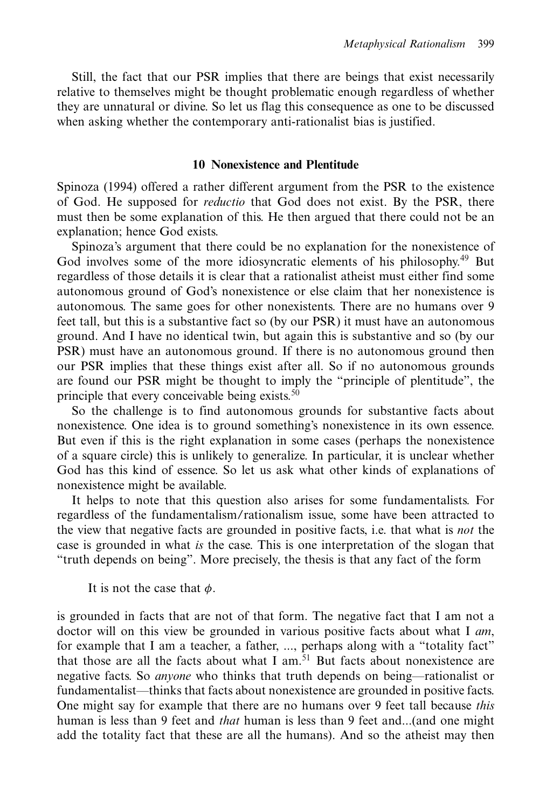Still, the fact that our PSR implies that there are beings that exist necessarily relative to themselves might be thought problematic enough regardless of whether they are unnatural or divine. So let us flag this consequence as one to be discussed when asking whether the contemporary anti-rationalist bias is justified.

#### **10 Nonexistence and Plentitude**

Spinoza (1994) offered a rather different argument from the PSR to the existence of God. He supposed for *reductio* that God does not exist. By the PSR, there must then be some explanation of this. He then argued that there could not be an explanation; hence God exists.

Spinoza's argument that there could be no explanation for the nonexistence of God involves some of the more idiosyncratic elements of his philosophy.<sup>49</sup> But regardless of those details it is clear that a rationalist atheist must either find some autonomous ground of God's nonexistence or else claim that her nonexistence is autonomous. The same goes for other nonexistents. There are no humans over 9 feet tall, but this is a substantive fact so (by our PSR) it must have an autonomous ground. And I have no identical twin, but again this is substantive and so (by our PSR) must have an autonomous ground. If there is no autonomous ground then our PSR implies that these things exist after all. So if no autonomous grounds are found our PSR might be thought to imply the "principle of plentitude", the principle that every conceivable being exists.<sup>50</sup>

So the challenge is to find autonomous grounds for substantive facts about nonexistence. One idea is to ground something's nonexistence in its own essence. But even if this is the right explanation in some cases (perhaps the nonexistence of a square circle) this is unlikely to generalize. In particular, it is unclear whether God has this kind of essence. So let us ask what other kinds of explanations of nonexistence might be available.

It helps to note that this question also arises for some fundamentalists. For regardless of the fundamentalism/rationalism issue, some have been attracted to the view that negative facts are grounded in positive facts, i.e. that what is *not* the case is grounded in what *is* the case. This is one interpretation of the slogan that "truth depends on being". More precisely, the thesis is that any fact of the form

It is not the case that  $\phi$ .

is grounded in facts that are not of that form. The negative fact that I am not a doctor will on this view be grounded in various positive facts about what I *am*, for example that I am a teacher, a father, ..., perhaps along with a "totality fact" that those are all the facts about what I am.<sup>51</sup> But facts about nonexistence are negative facts. So *anyone* who thinks that truth depends on being—rationalist or fundamentalist—thinks that facts about nonexistence are grounded in positive facts. One might say for example that there are no humans over 9 feet tall because *this* human is less than 9 feet and *that* human is less than 9 feet and...(and one might add the totality fact that these are all the humans). And so the atheist may then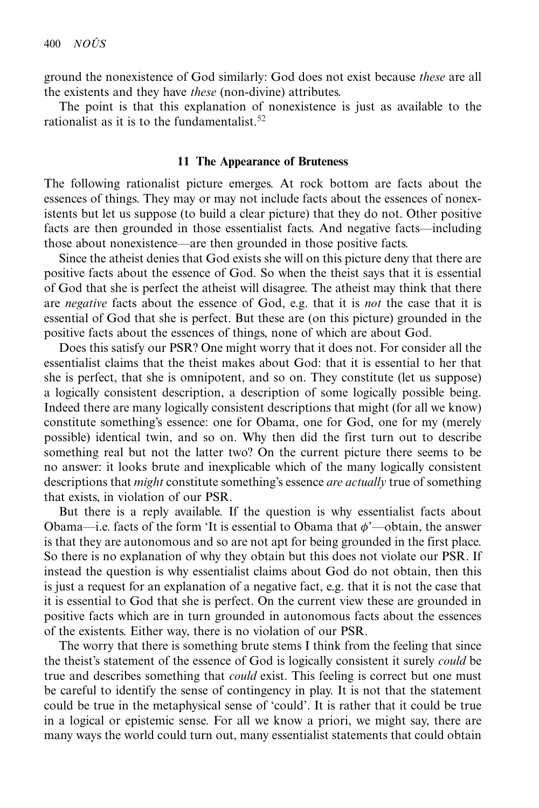ground the nonexistence of God similarly: God does not exist because *these* are all the existents and they have *these* (non-divine) attributes.

The point is that this explanation of nonexistence is just as available to the rationalist as it is to the fundamentalist.<sup>52</sup>

#### **11 The Appearance of Bruteness**

The following rationalist picture emerges. At rock bottom are facts about the essences of things. They may or may not include facts about the essences of nonexistents but let us suppose (to build a clear picture) that they do not. Other positive facts are then grounded in those essentialist facts. And negative facts—including those about nonexistence—are then grounded in those positive facts.

Since the atheist denies that God exists she will on this picture deny that there are positive facts about the essence of God. So when the theist says that it is essential of God that she is perfect the atheist will disagree. The atheist may think that there are *negative* facts about the essence of God, e.g. that it is *not* the case that it is essential of God that she is perfect. But these are (on this picture) grounded in the positive facts about the essences of things, none of which are about God.

Does this satisfy our PSR? One might worry that it does not. For consider all the essentialist claims that the theist makes about God: that it is essential to her that she is perfect, that she is omnipotent, and so on. They constitute (let us suppose) a logically consistent description, a description of some logically possible being. Indeed there are many logically consistent descriptions that might (for all we know) constitute something's essence: one for Obama, one for God, one for my (merely possible) identical twin, and so on. Why then did the first turn out to describe something real but not the latter two? On the current picture there seems to be no answer: it looks brute and inexplicable which of the many logically consistent descriptions that *might* constitute something's essence *are actually* true of something that exists, in violation of our PSR.

But there is a reply available. If the question is why essentialist facts about Obama—i.e. facts of the form 'It is essential to Obama that  $\phi$ '—obtain, the answer is that they are autonomous and so are not apt for being grounded in the first place. So there is no explanation of why they obtain but this does not violate our PSR. If instead the question is why essentialist claims about God do not obtain, then this is just a request for an explanation of a negative fact, e.g. that it is not the case that it is essential to God that she is perfect. On the current view these are grounded in positive facts which are in turn grounded in autonomous facts about the essences of the existents. Either way, there is no violation of our PSR.

The worry that there is something brute stems I think from the feeling that since the theist's statement of the essence of God is logically consistent it surely *could* be true and describes something that *could* exist. This feeling is correct but one must be careful to identify the sense of contingency in play. It is not that the statement could be true in the metaphysical sense of 'could'. It is rather that it could be true in a logical or epistemic sense. For all we know a priori, we might say, there are many ways the world could turn out, many essentialist statements that could obtain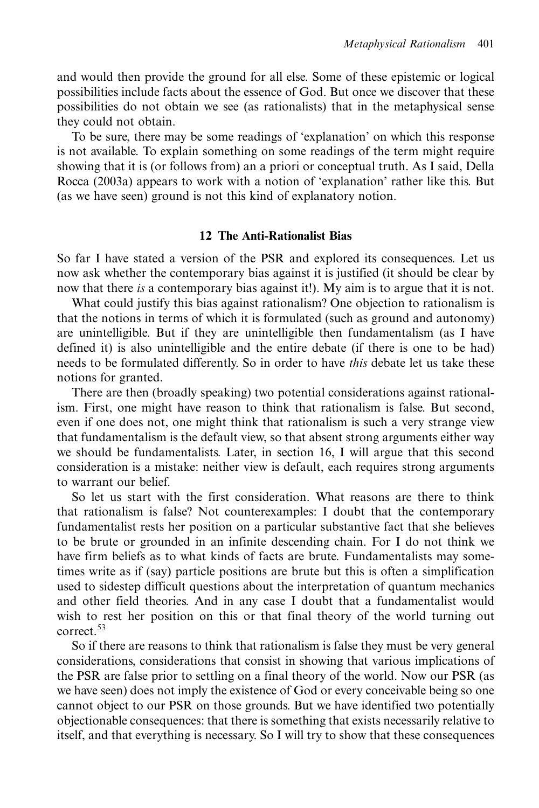and would then provide the ground for all else. Some of these epistemic or logical possibilities include facts about the essence of God. But once we discover that these possibilities do not obtain we see (as rationalists) that in the metaphysical sense they could not obtain.

To be sure, there may be some readings of 'explanation' on which this response is not available. To explain something on some readings of the term might require showing that it is (or follows from) an a priori or conceptual truth. As I said, Della Rocca (2003a) appears to work with a notion of 'explanation' rather like this. But (as we have seen) ground is not this kind of explanatory notion.

### **12 The Anti-Rationalist Bias**

So far I have stated a version of the PSR and explored its consequences. Let us now ask whether the contemporary bias against it is justified (it should be clear by now that there *is* a contemporary bias against it!). My aim is to argue that it is not.

What could justify this bias against rationalism? One objection to rationalism is that the notions in terms of which it is formulated (such as ground and autonomy) are unintelligible. But if they are unintelligible then fundamentalism (as I have defined it) is also unintelligible and the entire debate (if there is one to be had) needs to be formulated differently. So in order to have *this* debate let us take these notions for granted.

There are then (broadly speaking) two potential considerations against rationalism. First, one might have reason to think that rationalism is false. But second, even if one does not, one might think that rationalism is such a very strange view that fundamentalism is the default view, so that absent strong arguments either way we should be fundamentalists. Later, in section 16, I will argue that this second consideration is a mistake: neither view is default, each requires strong arguments to warrant our belief.

So let us start with the first consideration. What reasons are there to think that rationalism is false? Not counterexamples: I doubt that the contemporary fundamentalist rests her position on a particular substantive fact that she believes to be brute or grounded in an infinite descending chain. For I do not think we have firm beliefs as to what kinds of facts are brute. Fundamentalists may sometimes write as if (say) particle positions are brute but this is often a simplification used to sidestep difficult questions about the interpretation of quantum mechanics and other field theories. And in any case I doubt that a fundamentalist would wish to rest her position on this or that final theory of the world turning out correct.<sup>53</sup>

So if there are reasons to think that rationalism is false they must be very general considerations, considerations that consist in showing that various implications of the PSR are false prior to settling on a final theory of the world. Now our PSR (as we have seen) does not imply the existence of God or every conceivable being so one cannot object to our PSR on those grounds. But we have identified two potentially objectionable consequences: that there is something that exists necessarily relative to itself, and that everything is necessary. So I will try to show that these consequences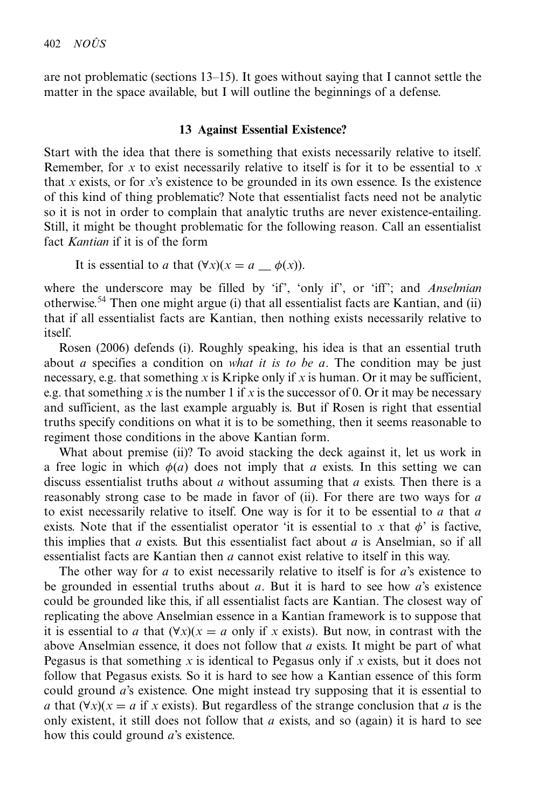are not problematic (sections 13–15). It goes without saying that I cannot settle the matter in the space available, but I will outline the beginnings of a defense.

# **13 Against Essential Existence?**

Start with the idea that there is something that exists necessarily relative to itself. Remember, for *x* to exist necessarily relative to itself is for it to be essential to *x* that *x* exists, or for *x*'s existence to be grounded in its own essence. Is the existence of this kind of thing problematic? Note that essentialist facts need not be analytic so it is not in order to complain that analytic truths are never existence-entailing. Still, it might be thought problematic for the following reason. Call an essentialist fact *Kantian* if it is of the form

It is essential to *a* that  $(\forall x)(x = a \_\phi(x))$ .

where the underscore may be filled by 'if', 'only if', or 'iff'; and *Anselmian* otherwise.<sup>54</sup> Then one might argue (i) that all essentialist facts are Kantian, and (ii) that if all essentialist facts are Kantian, then nothing exists necessarily relative to itself.

Rosen (2006) defends (i). Roughly speaking, his idea is that an essential truth about *a* specifies a condition on *what it is to be a*. The condition may be just necessary, e.g. that something *x* is Kripke only if *x* is human. Or it may be sufficient, e.g. that something *x* is the number 1 if *x* is the successor of 0. Or it may be necessary and sufficient, as the last example arguably is. But if Rosen is right that essential truths specify conditions on what it is to be something, then it seems reasonable to regiment those conditions in the above Kantian form.

What about premise (ii)? To avoid stacking the deck against it, let us work in a free logic in which  $\phi(a)$  does not imply that *a* exists. In this setting we can discuss essentialist truths about *a* without assuming that *a* exists. Then there is a reasonably strong case to be made in favor of (ii). For there are two ways for *a* to exist necessarily relative to itself. One way is for it to be essential to *a* that *a* exists. Note that if the essentialist operator 'it is essential to x that  $\phi$ ' is factive, this implies that *a* exists. But this essentialist fact about *a* is Anselmian, so if all essentialist facts are Kantian then *a* cannot exist relative to itself in this way.

The other way for *a* to exist necessarily relative to itself is for *a*'s existence to be grounded in essential truths about *a*. But it is hard to see how *a*'s existence could be grounded like this, if all essentialist facts are Kantian. The closest way of replicating the above Anselmian essence in a Kantian framework is to suppose that it is essential to *a* that  $(\forall x)(x = a)$  only if *x* exists). But now, in contrast with the above Anselmian essence, it does not follow that *a* exists. It might be part of what Pegasus is that something *x* is identical to Pegasus only if *x* exists, but it does not follow that Pegasus exists. So it is hard to see how a Kantian essence of this form could ground *a*'s existence. One might instead try supposing that it is essential to *a* that  $(\forall x)(x = a$  if *x* exists). But regardless of the strange conclusion that *a* is the only existent, it still does not follow that *a* exists, and so (again) it is hard to see how this could ground *a*'s existence.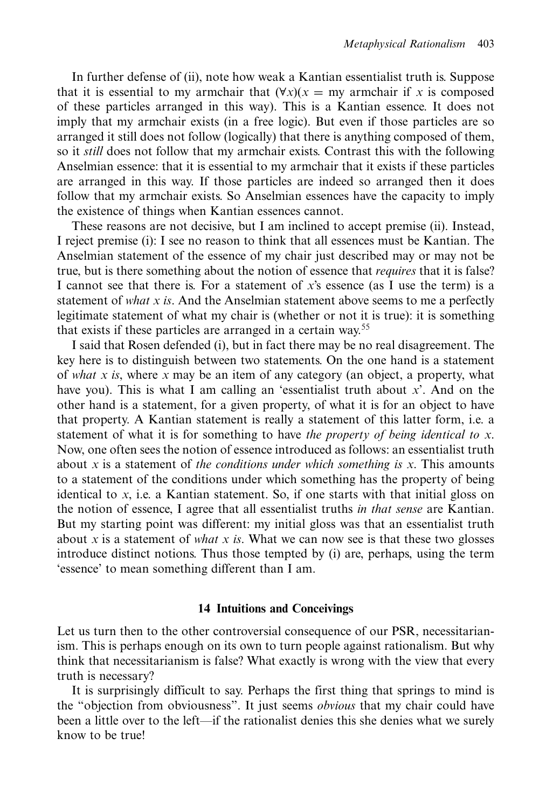In further defense of (ii), note how weak a Kantian essentialist truth is. Suppose that it is essential to my armchair that  $(\forall x)(x = \text{my} \text{ armchair if } x \text{ is composed})$ of these particles arranged in this way). This is a Kantian essence. It does not imply that my armchair exists (in a free logic). But even if those particles are so arranged it still does not follow (logically) that there is anything composed of them, so it *still* does not follow that my armchair exists. Contrast this with the following Anselmian essence: that it is essential to my armchair that it exists if these particles are arranged in this way. If those particles are indeed so arranged then it does follow that my armchair exists. So Anselmian essences have the capacity to imply the existence of things when Kantian essences cannot.

These reasons are not decisive, but I am inclined to accept premise (ii). Instead, I reject premise (i): I see no reason to think that all essences must be Kantian. The Anselmian statement of the essence of my chair just described may or may not be true, but is there something about the notion of essence that *requires* that it is false? I cannot see that there is. For a statement of *x*'s essence (as I use the term) is a statement of *what x is*. And the Anselmian statement above seems to me a perfectly legitimate statement of what my chair is (whether or not it is true): it is something that exists if these particles are arranged in a certain way.55

I said that Rosen defended (i), but in fact there may be no real disagreement. The key here is to distinguish between two statements. On the one hand is a statement of *what x is*, where *x* may be an item of any category (an object, a property, what have you). This is what I am calling an 'essentialist truth about *x*'. And on the other hand is a statement, for a given property, of what it is for an object to have that property. A Kantian statement is really a statement of this latter form, i.e. a statement of what it is for something to have *the property of being identical to x*. Now, one often sees the notion of essence introduced as follows: an essentialist truth about *x* is a statement of *the conditions under which something is x*. This amounts to a statement of the conditions under which something has the property of being identical to *x*, i.e. a Kantian statement. So, if one starts with that initial gloss on the notion of essence, I agree that all essentialist truths *in that sense* are Kantian. But my starting point was different: my initial gloss was that an essentialist truth about *x* is a statement of *what x is*. What we can now see is that these two glosses introduce distinct notions. Thus those tempted by (i) are, perhaps, using the term 'essence' to mean something different than I am.

## **14 Intuitions and Conceivings**

Let us turn then to the other controversial consequence of our PSR, necessitarianism. This is perhaps enough on its own to turn people against rationalism. But why think that necessitarianism is false? What exactly is wrong with the view that every truth is necessary?

It is surprisingly difficult to say. Perhaps the first thing that springs to mind is the "objection from obviousness". It just seems *obvious* that my chair could have been a little over to the left—if the rationalist denies this she denies what we surely know to be true!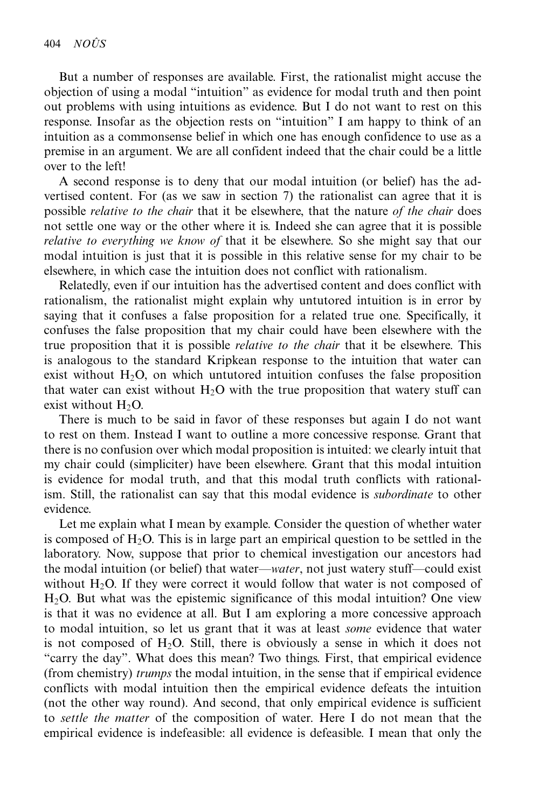But a number of responses are available. First, the rationalist might accuse the objection of using a modal "intuition" as evidence for modal truth and then point out problems with using intuitions as evidence. But I do not want to rest on this response. Insofar as the objection rests on "intuition" I am happy to think of an intuition as a commonsense belief in which one has enough confidence to use as a premise in an argument. We are all confident indeed that the chair could be a little over to the left!

A second response is to deny that our modal intuition (or belief) has the advertised content. For (as we saw in section 7) the rationalist can agree that it is possible *relative to the chair* that it be elsewhere, that the nature *of the chair* does not settle one way or the other where it is. Indeed she can agree that it is possible *relative to everything we know of* that it be elsewhere. So she might say that our modal intuition is just that it is possible in this relative sense for my chair to be elsewhere, in which case the intuition does not conflict with rationalism.

Relatedly, even if our intuition has the advertised content and does conflict with rationalism, the rationalist might explain why untutored intuition is in error by saying that it confuses a false proposition for a related true one. Specifically, it confuses the false proposition that my chair could have been elsewhere with the true proposition that it is possible *relative to the chair* that it be elsewhere. This is analogous to the standard Kripkean response to the intuition that water can exist without  $H_2O$ , on which untutored intuition confuses the false proposition that water can exist without  $H_2O$  with the true proposition that watery stuff can exist without  $H_2O$ .

There is much to be said in favor of these responses but again I do not want to rest on them. Instead I want to outline a more concessive response. Grant that there is no confusion over which modal proposition is intuited: we clearly intuit that my chair could (simpliciter) have been elsewhere. Grant that this modal intuition is evidence for modal truth, and that this modal truth conflicts with rationalism. Still, the rationalist can say that this modal evidence is *subordinate* to other evidence.

Let me explain what I mean by example. Consider the question of whether water is composed of  $H_2O$ . This is in large part an empirical question to be settled in the laboratory. Now, suppose that prior to chemical investigation our ancestors had the modal intuition (or belief) that water—*water*, not just watery stuff—could exist without  $H_2O$ . If they were correct it would follow that water is not composed of H2O. But what was the epistemic significance of this modal intuition? One view is that it was no evidence at all. But I am exploring a more concessive approach to modal intuition, so let us grant that it was at least *some* evidence that water is not composed of  $H_2O$ . Still, there is obviously a sense in which it does not "carry the day". What does this mean? Two things. First, that empirical evidence (from chemistry) *trumps* the modal intuition, in the sense that if empirical evidence conflicts with modal intuition then the empirical evidence defeats the intuition (not the other way round). And second, that only empirical evidence is sufficient to *settle the matter* of the composition of water. Here I do not mean that the empirical evidence is indefeasible: all evidence is defeasible. I mean that only the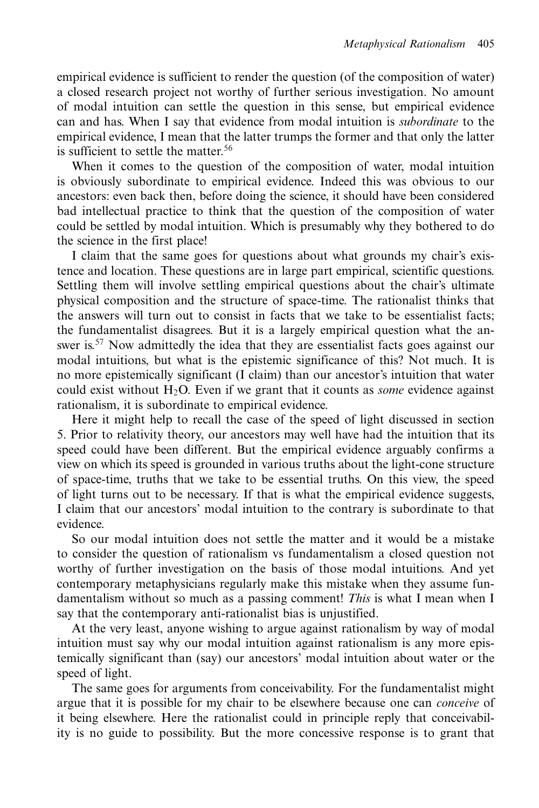empirical evidence is sufficient to render the question (of the composition of water) a closed research project not worthy of further serious investigation. No amount of modal intuition can settle the question in this sense, but empirical evidence can and has. When I say that evidence from modal intuition is *subordinate* to the empirical evidence, I mean that the latter trumps the former and that only the latter is sufficient to settle the matter.<sup>56</sup>

When it comes to the question of the composition of water, modal intuition is obviously subordinate to empirical evidence. Indeed this was obvious to our ancestors: even back then, before doing the science, it should have been considered bad intellectual practice to think that the question of the composition of water could be settled by modal intuition. Which is presumably why they bothered to do the science in the first place!

I claim that the same goes for questions about what grounds my chair's existence and location. These questions are in large part empirical, scientific questions. Settling them will involve settling empirical questions about the chair's ultimate physical composition and the structure of space-time. The rationalist thinks that the answers will turn out to consist in facts that we take to be essentialist facts; the fundamentalist disagrees. But it is a largely empirical question what the answer is.<sup>57</sup> Now admittedly the idea that they are essentialist facts goes against our modal intuitions, but what is the epistemic significance of this? Not much. It is no more epistemically significant (I claim) than our ancestor's intuition that water could exist without  $H_2O$ . Even if we grant that it counts as *some* evidence against rationalism, it is subordinate to empirical evidence.

Here it might help to recall the case of the speed of light discussed in section 5. Prior to relativity theory, our ancestors may well have had the intuition that its speed could have been different. But the empirical evidence arguably confirms a view on which its speed is grounded in various truths about the light-cone structure of space-time, truths that we take to be essential truths. On this view, the speed of light turns out to be necessary. If that is what the empirical evidence suggests, I claim that our ancestors' modal intuition to the contrary is subordinate to that evidence.

So our modal intuition does not settle the matter and it would be a mistake to consider the question of rationalism vs fundamentalism a closed question not worthy of further investigation on the basis of those modal intuitions. And yet contemporary metaphysicians regularly make this mistake when they assume fundamentalism without so much as a passing comment! *This* is what I mean when I say that the contemporary anti-rationalist bias is unjustified.

At the very least, anyone wishing to argue against rationalism by way of modal intuition must say why our modal intuition against rationalism is any more epistemically significant than (say) our ancestors' modal intuition about water or the speed of light.

The same goes for arguments from conceivability. For the fundamentalist might argue that it is possible for my chair to be elsewhere because one can *conceive* of it being elsewhere. Here the rationalist could in principle reply that conceivability is no guide to possibility. But the more concessive response is to grant that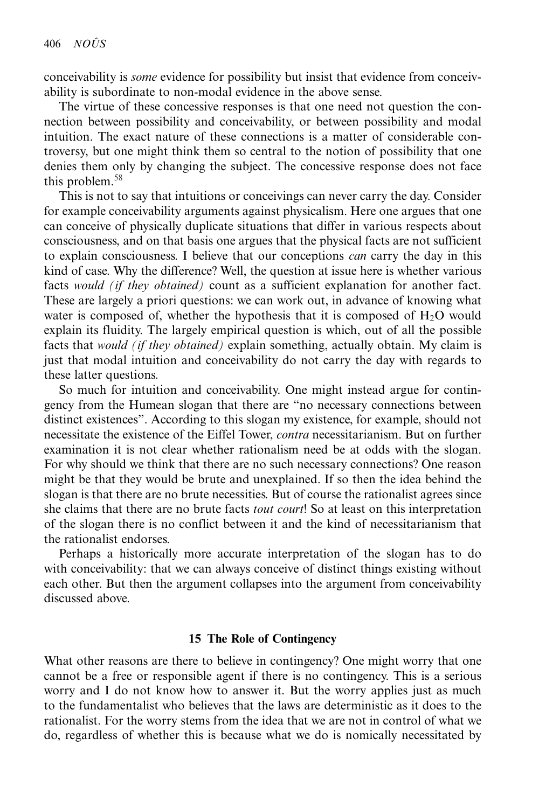conceivability is *some* evidence for possibility but insist that evidence from conceivability is subordinate to non-modal evidence in the above sense.

The virtue of these concessive responses is that one need not question the connection between possibility and conceivability, or between possibility and modal intuition. The exact nature of these connections is a matter of considerable controversy, but one might think them so central to the notion of possibility that one denies them only by changing the subject. The concessive response does not face this problem.<sup>58</sup>

This is not to say that intuitions or conceivings can never carry the day. Consider for example conceivability arguments against physicalism. Here one argues that one can conceive of physically duplicate situations that differ in various respects about consciousness, and on that basis one argues that the physical facts are not sufficient to explain consciousness. I believe that our conceptions *can* carry the day in this kind of case. Why the difference? Well, the question at issue here is whether various facts *would (if they obtained)* count as a sufficient explanation for another fact. These are largely a priori questions: we can work out, in advance of knowing what water is composed of, whether the hypothesis that it is composed of  $H_2O$  would explain its fluidity. The largely empirical question is which, out of all the possible facts that *would (if they obtained)* explain something, actually obtain. My claim is just that modal intuition and conceivability do not carry the day with regards to these latter questions.

So much for intuition and conceivability. One might instead argue for contingency from the Humean slogan that there are "no necessary connections between distinct existences". According to this slogan my existence, for example, should not necessitate the existence of the Eiffel Tower, *contra* necessitarianism. But on further examination it is not clear whether rationalism need be at odds with the slogan. For why should we think that there are no such necessary connections? One reason might be that they would be brute and unexplained. If so then the idea behind the slogan is that there are no brute necessities. But of course the rationalist agrees since she claims that there are no brute facts *tout court*! So at least on this interpretation of the slogan there is no conflict between it and the kind of necessitarianism that the rationalist endorses.

Perhaps a historically more accurate interpretation of the slogan has to do with conceivability: that we can always conceive of distinct things existing without each other. But then the argument collapses into the argument from conceivability discussed above.

#### **15 The Role of Contingency**

What other reasons are there to believe in contingency? One might worry that one cannot be a free or responsible agent if there is no contingency. This is a serious worry and I do not know how to answer it. But the worry applies just as much to the fundamentalist who believes that the laws are deterministic as it does to the rationalist. For the worry stems from the idea that we are not in control of what we do, regardless of whether this is because what we do is nomically necessitated by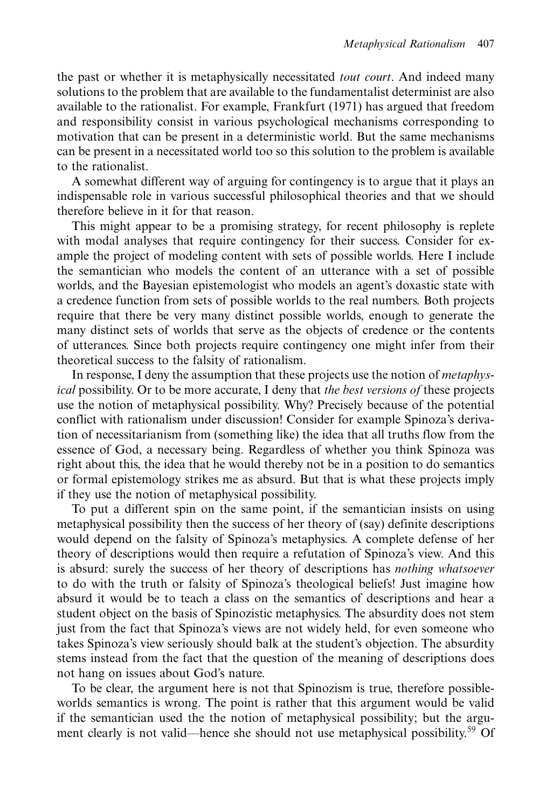the past or whether it is metaphysically necessitated *tout court*. And indeed many solutions to the problem that are available to the fundamentalist determinist are also available to the rationalist. For example, Frankfurt (1971) has argued that freedom and responsibility consist in various psychological mechanisms corresponding to motivation that can be present in a deterministic world. But the same mechanisms can be present in a necessitated world too so this solution to the problem is available to the rationalist.

A somewhat different way of arguing for contingency is to argue that it plays an indispensable role in various successful philosophical theories and that we should therefore believe in it for that reason.

This might appear to be a promising strategy, for recent philosophy is replete with modal analyses that require contingency for their success. Consider for example the project of modeling content with sets of possible worlds. Here I include the semantician who models the content of an utterance with a set of possible worlds, and the Bayesian epistemologist who models an agent's doxastic state with a credence function from sets of possible worlds to the real numbers. Both projects require that there be very many distinct possible worlds, enough to generate the many distinct sets of worlds that serve as the objects of credence or the contents of utterances. Since both projects require contingency one might infer from their theoretical success to the falsity of rationalism.

In response, I deny the assumption that these projects use the notion of *metaphysical* possibility. Or to be more accurate, I deny that *the best versions of* these projects use the notion of metaphysical possibility. Why? Precisely because of the potential conflict with rationalism under discussion! Consider for example Spinoza's derivation of necessitarianism from (something like) the idea that all truths flow from the essence of God, a necessary being. Regardless of whether you think Spinoza was right about this, the idea that he would thereby not be in a position to do semantics or formal epistemology strikes me as absurd. But that is what these projects imply if they use the notion of metaphysical possibility.

To put a different spin on the same point, if the semantician insists on using metaphysical possibility then the success of her theory of (say) definite descriptions would depend on the falsity of Spinoza's metaphysics. A complete defense of her theory of descriptions would then require a refutation of Spinoza's view. And this is absurd: surely the success of her theory of descriptions has *nothing whatsoever* to do with the truth or falsity of Spinoza's theological beliefs! Just imagine how absurd it would be to teach a class on the semantics of descriptions and hear a student object on the basis of Spinozistic metaphysics. The absurdity does not stem just from the fact that Spinoza's views are not widely held, for even someone who takes Spinoza's view seriously should balk at the student's objection. The absurdity stems instead from the fact that the question of the meaning of descriptions does not hang on issues about God's nature.

To be clear, the argument here is not that Spinozism is true, therefore possibleworlds semantics is wrong. The point is rather that this argument would be valid if the semantician used the the notion of metaphysical possibility; but the argument clearly is not valid—hence she should not use metaphysical possibility.<sup>59</sup> Of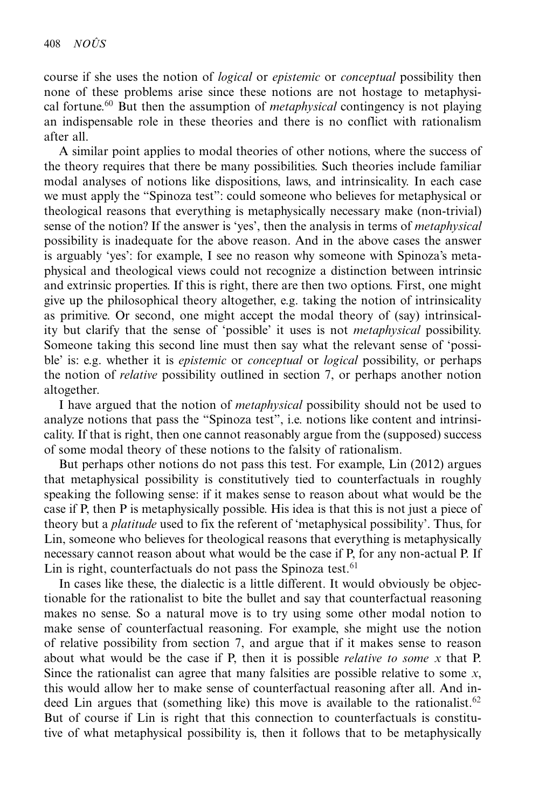course if she uses the notion of *logical* or *epistemic* or *conceptual* possibility then none of these problems arise since these notions are not hostage to metaphysical fortune.60 But then the assumption of *metaphysical* contingency is not playing an indispensable role in these theories and there is no conflict with rationalism after all.

A similar point applies to modal theories of other notions, where the success of the theory requires that there be many possibilities. Such theories include familiar modal analyses of notions like dispositions, laws, and intrinsicality. In each case we must apply the "Spinoza test": could someone who believes for metaphysical or theological reasons that everything is metaphysically necessary make (non-trivial) sense of the notion? If the answer is 'yes', then the analysis in terms of *metaphysical* possibility is inadequate for the above reason. And in the above cases the answer is arguably 'yes': for example, I see no reason why someone with Spinoza's metaphysical and theological views could not recognize a distinction between intrinsic and extrinsic properties. If this is right, there are then two options. First, one might give up the philosophical theory altogether, e.g. taking the notion of intrinsicality as primitive. Or second, one might accept the modal theory of (say) intrinsicality but clarify that the sense of 'possible' it uses is not *metaphysical* possibility. Someone taking this second line must then say what the relevant sense of 'possible' is: e.g. whether it is *epistemic* or *conceptual* or *logical* possibility, or perhaps the notion of *relative* possibility outlined in section 7, or perhaps another notion altogether.

I have argued that the notion of *metaphysical* possibility should not be used to analyze notions that pass the "Spinoza test", i.e. notions like content and intrinsicality. If that is right, then one cannot reasonably argue from the (supposed) success of some modal theory of these notions to the falsity of rationalism.

But perhaps other notions do not pass this test. For example, Lin (2012) argues that metaphysical possibility is constitutively tied to counterfactuals in roughly speaking the following sense: if it makes sense to reason about what would be the case if P, then P is metaphysically possible. His idea is that this is not just a piece of theory but a *platitude* used to fix the referent of 'metaphysical possibility'. Thus, for Lin, someone who believes for theological reasons that everything is metaphysically necessary cannot reason about what would be the case if P, for any non-actual P. If Lin is right, counterfactuals do not pass the Spinoza test.<sup>61</sup>

In cases like these, the dialectic is a little different. It would obviously be objectionable for the rationalist to bite the bullet and say that counterfactual reasoning makes no sense. So a natural move is to try using some other modal notion to make sense of counterfactual reasoning. For example, she might use the notion of relative possibility from section 7, and argue that if it makes sense to reason about what would be the case if P, then it is possible *relative to some x* that P. Since the rationalist can agree that many falsities are possible relative to some *x*, this would allow her to make sense of counterfactual reasoning after all. And indeed Lin argues that (something like) this move is available to the rationalist.<sup>62</sup> But of course if Lin is right that this connection to counterfactuals is constitutive of what metaphysical possibility is, then it follows that to be metaphysically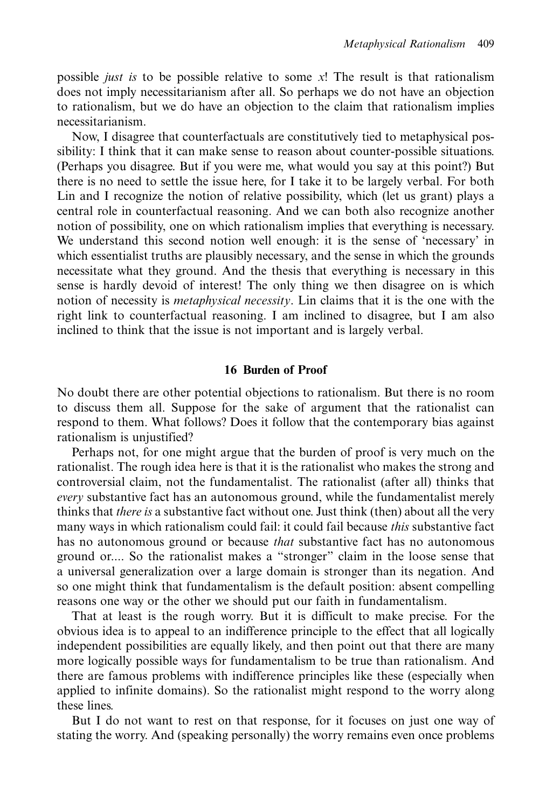possible *just is* to be possible relative to some *x*! The result is that rationalism does not imply necessitarianism after all. So perhaps we do not have an objection to rationalism, but we do have an objection to the claim that rationalism implies necessitarianism.

Now, I disagree that counterfactuals are constitutively tied to metaphysical possibility: I think that it can make sense to reason about counter-possible situations. (Perhaps you disagree. But if you were me, what would you say at this point?) But there is no need to settle the issue here, for I take it to be largely verbal. For both Lin and I recognize the notion of relative possibility, which (let us grant) plays a central role in counterfactual reasoning. And we can both also recognize another notion of possibility, one on which rationalism implies that everything is necessary. We understand this second notion well enough: it is the sense of 'necessary' in which essentialist truths are plausibly necessary, and the sense in which the grounds necessitate what they ground. And the thesis that everything is necessary in this sense is hardly devoid of interest! The only thing we then disagree on is which notion of necessity is *metaphysical necessity*. Lin claims that it is the one with the right link to counterfactual reasoning. I am inclined to disagree, but I am also inclined to think that the issue is not important and is largely verbal.

### **16 Burden of Proof**

No doubt there are other potential objections to rationalism. But there is no room to discuss them all. Suppose for the sake of argument that the rationalist can respond to them. What follows? Does it follow that the contemporary bias against rationalism is unjustified?

Perhaps not, for one might argue that the burden of proof is very much on the rationalist. The rough idea here is that it is the rationalist who makes the strong and controversial claim, not the fundamentalist. The rationalist (after all) thinks that *every* substantive fact has an autonomous ground, while the fundamentalist merely thinks that *there is* a substantive fact without one. Just think (then) about all the very many ways in which rationalism could fail: it could fail because *this* substantive fact has no autonomous ground or because *that* substantive fact has no autonomous ground or.... So the rationalist makes a "stronger" claim in the loose sense that a universal generalization over a large domain is stronger than its negation. And so one might think that fundamentalism is the default position: absent compelling reasons one way or the other we should put our faith in fundamentalism.

That at least is the rough worry. But it is difficult to make precise. For the obvious idea is to appeal to an indifference principle to the effect that all logically independent possibilities are equally likely, and then point out that there are many more logically possible ways for fundamentalism to be true than rationalism. And there are famous problems with indifference principles like these (especially when applied to infinite domains). So the rationalist might respond to the worry along these lines.

But I do not want to rest on that response, for it focuses on just one way of stating the worry. And (speaking personally) the worry remains even once problems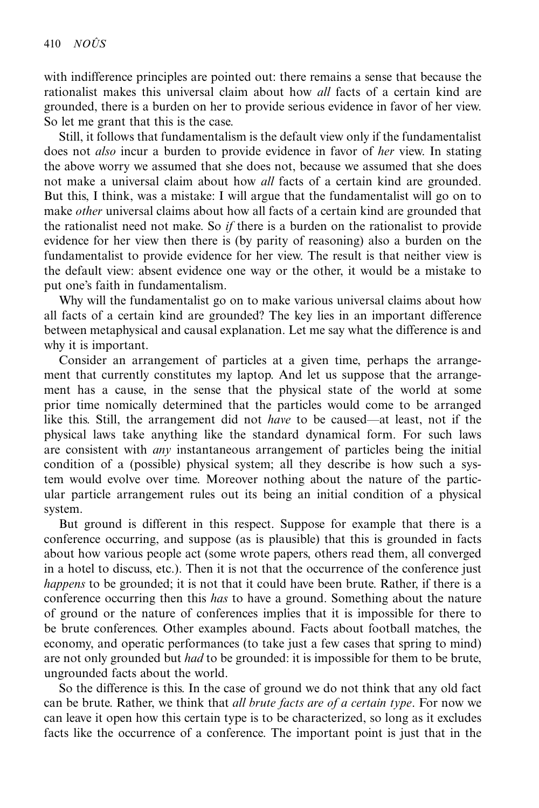with indifference principles are pointed out: there remains a sense that because the rationalist makes this universal claim about how *all* facts of a certain kind are grounded, there is a burden on her to provide serious evidence in favor of her view. So let me grant that this is the case.

Still, it follows that fundamentalism is the default view only if the fundamentalist does not *also* incur a burden to provide evidence in favor of *her* view. In stating the above worry we assumed that she does not, because we assumed that she does not make a universal claim about how *all* facts of a certain kind are grounded. But this, I think, was a mistake: I will argue that the fundamentalist will go on to make *other* universal claims about how all facts of a certain kind are grounded that the rationalist need not make. So *if* there is a burden on the rationalist to provide evidence for her view then there is (by parity of reasoning) also a burden on the fundamentalist to provide evidence for her view. The result is that neither view is the default view: absent evidence one way or the other, it would be a mistake to put one's faith in fundamentalism.

Why will the fundamentalist go on to make various universal claims about how all facts of a certain kind are grounded? The key lies in an important difference between metaphysical and causal explanation. Let me say what the difference is and why it is important.

Consider an arrangement of particles at a given time, perhaps the arrangement that currently constitutes my laptop. And let us suppose that the arrangement has a cause, in the sense that the physical state of the world at some prior time nomically determined that the particles would come to be arranged like this. Still, the arrangement did not *have* to be caused—at least, not if the physical laws take anything like the standard dynamical form. For such laws are consistent with *any* instantaneous arrangement of particles being the initial condition of a (possible) physical system; all they describe is how such a system would evolve over time. Moreover nothing about the nature of the particular particle arrangement rules out its being an initial condition of a physical system.

But ground is different in this respect. Suppose for example that there is a conference occurring, and suppose (as is plausible) that this is grounded in facts about how various people act (some wrote papers, others read them, all converged in a hotel to discuss, etc.). Then it is not that the occurrence of the conference just *happens* to be grounded; it is not that it could have been brute. Rather, if there is a conference occurring then this *has* to have a ground. Something about the nature of ground or the nature of conferences implies that it is impossible for there to be brute conferences. Other examples abound. Facts about football matches, the economy, and operatic performances (to take just a few cases that spring to mind) are not only grounded but *had* to be grounded: it is impossible for them to be brute, ungrounded facts about the world.

So the difference is this. In the case of ground we do not think that any old fact can be brute. Rather, we think that *all brute facts are of a certain type*. For now we can leave it open how this certain type is to be characterized, so long as it excludes facts like the occurrence of a conference. The important point is just that in the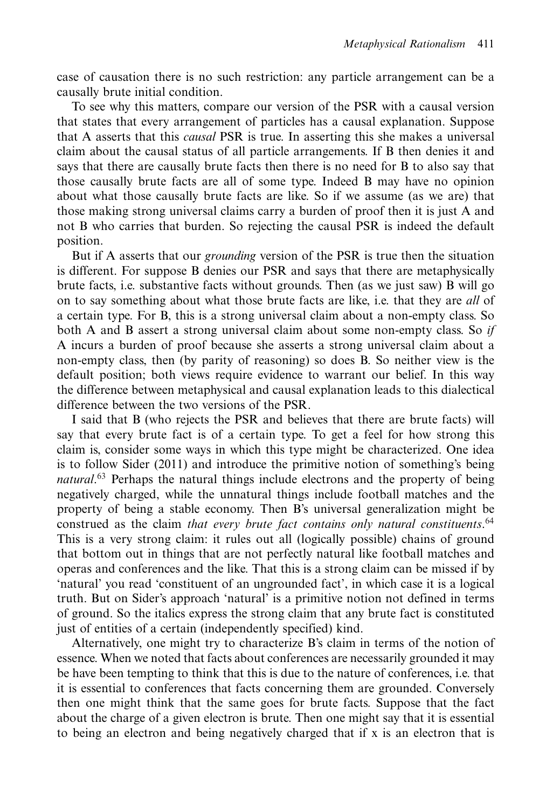case of causation there is no such restriction: any particle arrangement can be a causally brute initial condition.

To see why this matters, compare our version of the PSR with a causal version that states that every arrangement of particles has a causal explanation. Suppose that A asserts that this *causal* PSR is true. In asserting this she makes a universal claim about the causal status of all particle arrangements. If B then denies it and says that there are causally brute facts then there is no need for B to also say that those causally brute facts are all of some type. Indeed B may have no opinion about what those causally brute facts are like. So if we assume (as we are) that those making strong universal claims carry a burden of proof then it is just A and not B who carries that burden. So rejecting the causal PSR is indeed the default position.

But if A asserts that our *grounding* version of the PSR is true then the situation is different. For suppose B denies our PSR and says that there are metaphysically brute facts, i.e. substantive facts without grounds. Then (as we just saw) B will go on to say something about what those brute facts are like, i.e. that they are *all* of a certain type. For B, this is a strong universal claim about a non-empty class. So both A and B assert a strong universal claim about some non-empty class. So *if* A incurs a burden of proof because she asserts a strong universal claim about a non-empty class, then (by parity of reasoning) so does B. So neither view is the default position; both views require evidence to warrant our belief. In this way the difference between metaphysical and causal explanation leads to this dialectical difference between the two versions of the PSR.

I said that B (who rejects the PSR and believes that there are brute facts) will say that every brute fact is of a certain type. To get a feel for how strong this claim is, consider some ways in which this type might be characterized. One idea is to follow Sider (2011) and introduce the primitive notion of something's being *natural*. <sup>63</sup> Perhaps the natural things include electrons and the property of being negatively charged, while the unnatural things include football matches and the property of being a stable economy. Then B's universal generalization might be construed as the claim *that every brute fact contains only natural constituents*. 64 This is a very strong claim: it rules out all (logically possible) chains of ground that bottom out in things that are not perfectly natural like football matches and operas and conferences and the like. That this is a strong claim can be missed if by 'natural' you read 'constituent of an ungrounded fact', in which case it is a logical truth. But on Sider's approach 'natural' is a primitive notion not defined in terms of ground. So the italics express the strong claim that any brute fact is constituted just of entities of a certain (independently specified) kind.

Alternatively, one might try to characterize B's claim in terms of the notion of essence. When we noted that facts about conferences are necessarily grounded it may be have been tempting to think that this is due to the nature of conferences, i.e. that it is essential to conferences that facts concerning them are grounded. Conversely then one might think that the same goes for brute facts. Suppose that the fact about the charge of a given electron is brute. Then one might say that it is essential to being an electron and being negatively charged that if x is an electron that is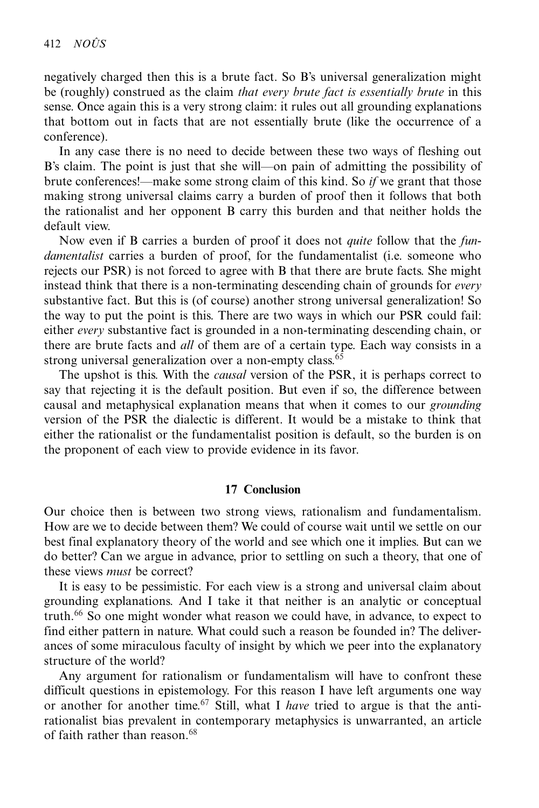negatively charged then this is a brute fact. So B's universal generalization might be (roughly) construed as the claim *that every brute fact is essentially brute* in this sense. Once again this is a very strong claim: it rules out all grounding explanations that bottom out in facts that are not essentially brute (like the occurrence of a conference).

In any case there is no need to decide between these two ways of fleshing out B's claim. The point is just that she will—on pain of admitting the possibility of brute conferences!—make some strong claim of this kind. So *if* we grant that those making strong universal claims carry a burden of proof then it follows that both the rationalist and her opponent B carry this burden and that neither holds the default view.

Now even if B carries a burden of proof it does not *quite* follow that the *fundamentalist* carries a burden of proof, for the fundamentalist (i.e. someone who rejects our PSR) is not forced to agree with B that there are brute facts. She might instead think that there is a non-terminating descending chain of grounds for *every* substantive fact. But this is (of course) another strong universal generalization! So the way to put the point is this. There are two ways in which our PSR could fail: either *every* substantive fact is grounded in a non-terminating descending chain, or there are brute facts and *all* of them are of a certain type. Each way consists in a strong universal generalization over a non-empty class.<sup>65</sup>

The upshot is this. With the *causal* version of the PSR, it is perhaps correct to say that rejecting it is the default position. But even if so, the difference between causal and metaphysical explanation means that when it comes to our *grounding* version of the PSR the dialectic is different. It would be a mistake to think that either the rationalist or the fundamentalist position is default, so the burden is on the proponent of each view to provide evidence in its favor.

# **17 Conclusion**

Our choice then is between two strong views, rationalism and fundamentalism. How are we to decide between them? We could of course wait until we settle on our best final explanatory theory of the world and see which one it implies. But can we do better? Can we argue in advance, prior to settling on such a theory, that one of these views *must* be correct?

It is easy to be pessimistic. For each view is a strong and universal claim about grounding explanations. And I take it that neither is an analytic or conceptual truth.66 So one might wonder what reason we could have, in advance, to expect to find either pattern in nature. What could such a reason be founded in? The deliverances of some miraculous faculty of insight by which we peer into the explanatory structure of the world?

Any argument for rationalism or fundamentalism will have to confront these difficult questions in epistemology. For this reason I have left arguments one way or another for another time.67 Still, what I *have* tried to argue is that the antirationalist bias prevalent in contemporary metaphysics is unwarranted, an article of faith rather than reason.68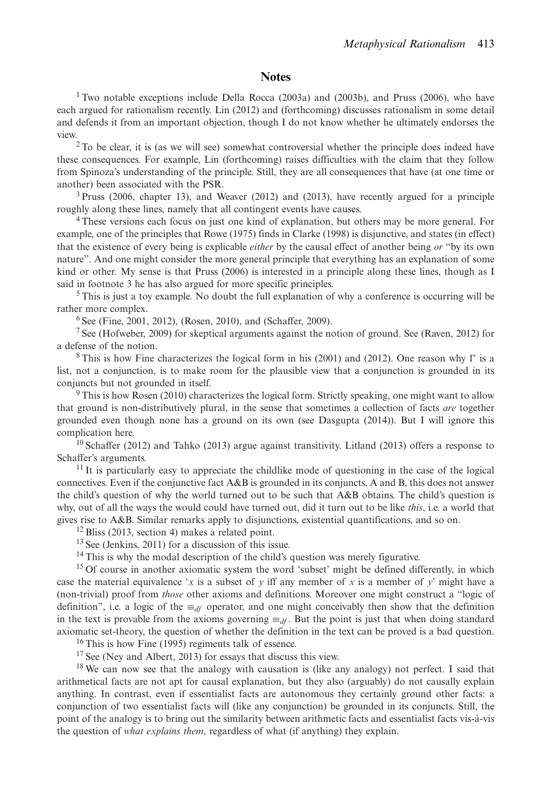#### **Notes**

<sup>1</sup> Two notable exceptions include Della Rocca (2003a) and (2003b), and Pruss (2006), who have each argued for rationalism recently. Lin (2012) and (forthcoming) discusses rationalism in some detail and defends it from an important objection, though I do not know whether he ultimately endorses the view.<br><sup>2</sup> To be clear, it is (as we will see) somewhat controversial whether the principle does indeed have

these consequences. For example, Lin (forthcoming) raises difficulties with the claim that they follow from Spinoza's understanding of the principle. Still, they are all consequences that have (at one time or another) been associated with the PSR.

<sup>3</sup> Pruss (2006, chapter 13), and Weaver (2012) and (2013), have recently argued for a principle roughly along these lines, namely that all contingent events have causes.

<sup>4</sup> These versions each focus on just one kind of explanation, but others may be more general. For example, one of the principles that Rowe (1975) finds in Clarke (1998) is disjunctive, and states (in effect) that the existence of every being is explicable *either* by the causal effect of another being *or* "by its own nature". And one might consider the more general principle that everything has an explanation of some kind or other. My sense is that Pruss (2006) is interested in a principle along these lines, though as I said in footnote 3 he has also argued for more specific principles.

 $<sup>5</sup>$ This is just a toy example. No doubt the full explanation of why a conference is occurring will be</sup> rather more complex.

<sup>6</sup> See (Fine, 2001, 2012), (Rosen, 2010), and (Schaffer, 2009).

<sup>7</sup> See (Hofweber, 2009) for skeptical arguments against the notion of ground. See (Raven, 2012) for a defense of the notion.

<sup>8</sup> This is how Fine characterizes the logical form in his (2001) and (2012). One reason why  $\Gamma$  is a list, not a conjunction, is to make room for the plausible view that a conjunction is grounded in its conjuncts but not grounded in itself.

<sup>9</sup> This is how Rosen (2010) characterizes the logical form. Strictly speaking, one might want to allow that ground is non-distributively plural, in the sense that sometimes a collection of facts *are* together grounded even though none has a ground on its own (see Dasgupta (2014)). But I will ignore this complication here.

 $10$  Schaffer (2012) and Tahko (2013) argue against transitivity. Litland (2013) offers a response to Schaffer's arguments.

 $11$  It is particularly easy to appreciate the childlike mode of questioning in the case of the logical connectives. Even if the conjunctive fact A&B is grounded in its conjuncts, A and B, this does not answer the child's question of why the world turned out to be such that A&B obtains. The child's question is why, out of all the ways the would could have turned out, did it turn out to be like *this*, i.e. a world that gives rise to A&B. Similar remarks apply to disjunctions, existential quantifications, and so on.

 $12$  Bliss (2013, section 4) makes a related point.

<sup>13</sup> See (Jenkins, 2011) for a discussion of this issue.

 $14$  This is why the modal description of the child's question was merely figurative.

<sup>15</sup> Of course in another axiomatic system the word 'subset' might be defined differently, in which case the material equivalence '*x* is a subset of *y* iff any member of *x* is a member of *y*' might have a (non-trivial) proof from *those* other axioms and definitions. Moreover one might construct a "logic of definition", i.e. a logic of the ≡*df* operator, and one might conceivably then show that the definition in the text is provable from the axioms governing  $\equiv_{df}$ . But the point is just that when doing standard axiomatic set-theory, the question of whether the definition in the text can be proved is a bad question.

<sup>16</sup> This is how Fine (1995) regiments talk of essence.

<sup>17</sup> See (Ney and Albert, 2013) for essays that discuss this view.

<sup>18</sup> We can now see that the analogy with causation is (like any analogy) not perfect. I said that arithmetical facts are not apt for causal explanation, but they also (arguably) do not causally explain anything. In contrast, even if essentialist facts are autonomous they certainly ground other facts: a conjunction of two essentialist facts will (like any conjunction) be grounded in its conjuncts. Still, the point of the analogy is to bring out the similarity between arithmetic facts and essentialist facts vis-à-vis the question of *what explains them*, regardless of what (if anything) they explain.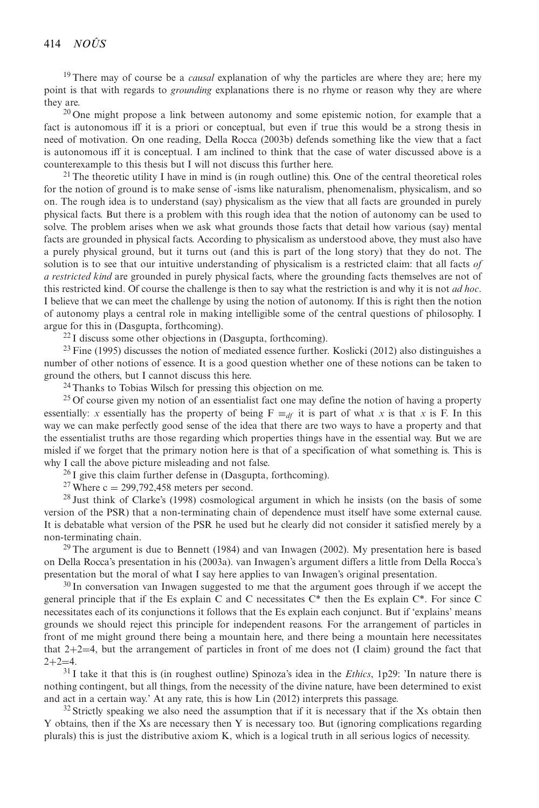<sup>19</sup> There may of course be a *causal* explanation of why the particles are where they are; here my point is that with regards to *grounding* explanations there is no rhyme or reason why they are where they are.

 $20$  One might propose a link between autonomy and some epistemic notion, for example that a fact is autonomous iff it is a priori or conceptual, but even if true this would be a strong thesis in need of motivation. On one reading, Della Rocca (2003b) defends something like the view that a fact is autonomous iff it is conceptual. I am inclined to think that the case of water discussed above is a counterexample to this thesis but I will not discuss this further here.

 $21$  The theoretic utility I have in mind is (in rough outline) this. One of the central theoretical roles for the notion of ground is to make sense of -isms like naturalism, phenomenalism, physicalism, and so on. The rough idea is to understand (say) physicalism as the view that all facts are grounded in purely physical facts. But there is a problem with this rough idea that the notion of autonomy can be used to solve. The problem arises when we ask what grounds those facts that detail how various (say) mental facts are grounded in physical facts. According to physicalism as understood above, they must also have a purely physical ground, but it turns out (and this is part of the long story) that they do not. The solution is to see that our intuitive understanding of physicalism is a restricted claim: that all facts *of a restricted kind* are grounded in purely physical facts, where the grounding facts themselves are not of this restricted kind. Of course the challenge is then to say what the restriction is and why it is not *ad hoc*. I believe that we can meet the challenge by using the notion of autonomy. If this is right then the notion of autonomy plays a central role in making intelligible some of the central questions of philosophy. I argue for this in (Dasgupta, forthcoming).

 $^{22}$  I discuss some other objections in (Dasgupta, forthcoming).

 $^{23}$  Fine (1995) discusses the notion of mediated essence further. Koslicki (2012) also distinguishes a number of other notions of essence. It is a good question whether one of these notions can be taken to ground the others, but I cannot discuss this here.

<sup>24</sup> Thanks to Tobias Wilsch for pressing this objection on me.

<sup>25</sup> Of course given my notion of an essentialist fact one may define the notion of having a property essentially: *x* essentially has the property of being  $F \equiv df$  it is part of what *x* is that *x* is F. In this way we can make perfectly good sense of the idea that there are two ways to have a property and that the essentialist truths are those regarding which properties things have in the essential way. But we are misled if we forget that the primary notion here is that of a specification of what something is. This is why I call the above picture misleading and not false.

<sup>26</sup> I give this claim further defense in (Dasgupta, forthcoming).

<sup>27</sup> Where c = 299,792,458 meters per second.<br><sup>28</sup> Just think of Clarke's (1998) cosmological argument in which he insists (on the basis of some version of the PSR) that a non-terminating chain of dependence must itself have some external cause. It is debatable what version of the PSR he used but he clearly did not consider it satisfied merely by a non-terminating chain.

 $29$  The argument is due to Bennett (1984) and van Inwagen (2002). My presentation here is based on Della Rocca's presentation in his (2003a). van Inwagen's argument differs a little from Della Rocca's presentation but the moral of what I say here applies to van Inwagen's original presentation.

<sup>30</sup> In conversation van Inwagen suggested to me that the argument goes through if we accept the general principle that if the Es explain C and C necessitates C\* then the Es explain C\*. For since C necessitates each of its conjunctions it follows that the Es explain each conjunct. But if 'explains' means grounds we should reject this principle for independent reasons. For the arrangement of particles in front of me might ground there being a mountain here, and there being a mountain here necessitates that  $2+2=4$ , but the arrangement of particles in front of me does not (I claim) ground the fact that  $2+2=4$ .

<sup>31</sup> I take it that this is (in roughest outline) Spinoza's idea in the *Ethics*, 1p29: 'In nature there is nothing contingent, but all things, from the necessity of the divine nature, have been determined to exist and act in a certain way.' At any rate, this is how Lin (2012) interprets this passage.

 $32$  Strictly speaking we also need the assumption that if it is necessary that if the Xs obtain then Y obtains, then if the Xs are necessary then Y is necessary too. But (ignoring complications regarding plurals) this is just the distributive axiom K, which is a logical truth in all serious logics of necessity.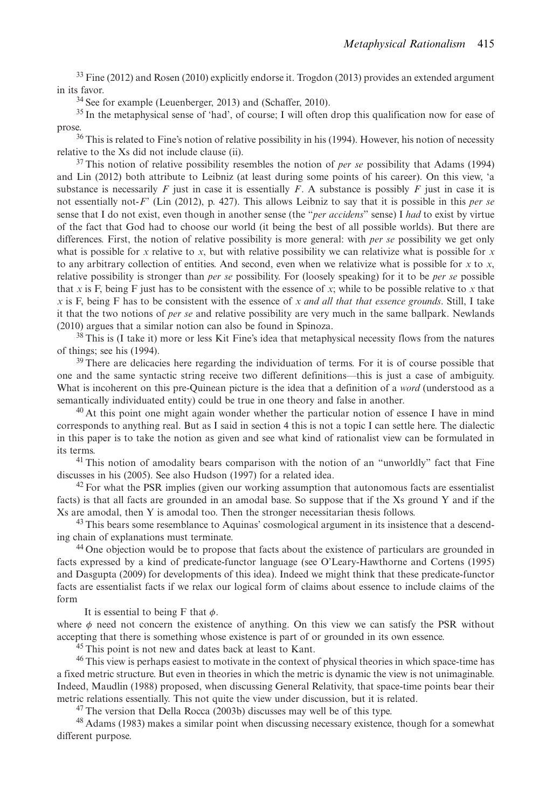<sup>33</sup> Fine (2012) and Rosen (2010) explicitly endorse it. Trogdon (2013) provides an extended argument in its favor.

<sup>34</sup> See for example (Leuenberger, 2013) and (Schaffer, 2010).

<sup>35</sup> In the metaphysical sense of 'had', of course; I will often drop this qualification now for ease of

prose.<br><sup>36</sup> This is related to Fine's notion of relative possibility in his (1994). However, his notion of necessity relative to the Xs did not include clause (ii).

<sup>37</sup> This notion of relative possibility resembles the notion of *per se* possibility that Adams (1994) and Lin (2012) both attribute to Leibniz (at least during some points of his career). On this view, 'a substance is necessarily  $F$  just in case it is essentially  $F$ . A substance is possibly  $F$  just in case it is not essentially not-*F*' (Lin (2012), p. 427). This allows Leibniz to say that it is possible in this *per se* sense that I do not exist, even though in another sense (the "*per accidens*" sense) I *had* to exist by virtue of the fact that God had to choose our world (it being the best of all possible worlds). But there are differences. First, the notion of relative possibility is more general: with *per se* possibility we get only what is possible for  $x$  relative to  $x$ , but with relative possibility we can relativize what is possible for  $x$ to any arbitrary collection of entities. And second, even when we relativize what is possible for *x* to *x*, relative possibility is stronger than *per se* possibility. For (loosely speaking) for it to be *per se* possible that *x* is F, being F just has to be consistent with the essence of *x*; while to be possible relative to *x* that *x* is F, being F has to be consistent with the essence of *x and all that that essence grounds*. Still, I take it that the two notions of *per se* and relative possibility are very much in the same ballpark. Newlands (2010) argues that a similar notion can also be found in Spinoza.

<sup>38</sup> This is (I take it) more or less Kit Fine's idea that metaphysical necessity flows from the natures of things; see his (1994).

 $39$  There are delicacies here regarding the individuation of terms. For it is of course possible that one and the same syntactic string receive two different definitions—this is just a case of ambiguity. What is incoherent on this pre-Quinean picture is the idea that a definition of a *word* (understood as a semantically individuated entity) could be true in one theory and false in another.

 $40$  At this point one might again wonder whether the particular notion of essence I have in mind corresponds to anything real. But as I said in section 4 this is not a topic I can settle here. The dialectic in this paper is to take the notion as given and see what kind of rationalist view can be formulated in its terms.

<sup>41</sup> This notion of amodality bears comparison with the notion of an "unworldly" fact that Fine discusses in his (2005). See also Hudson (1997) for a related idea.

<sup>42</sup> For what the PSR implies (given our working assumption that autonomous facts are essentialist facts) is that all facts are grounded in an amodal base. So suppose that if the Xs ground Y and if the Xs are amodal, then Y is amodal too. Then the stronger necessitarian thesis follows.

<sup>43</sup> This bears some resemblance to Aquinas' cosmological argument in its insistence that a descending chain of explanations must terminate.

<sup>44</sup> One objection would be to propose that facts about the existence of particulars are grounded in facts expressed by a kind of predicate-functor language (see O'Leary-Hawthorne and Cortens (1995) and Dasgupta (2009) for developments of this idea). Indeed we might think that these predicate-functor facts are essentialist facts if we relax our logical form of claims about essence to include claims of the form

It is essential to being F that  $\phi$ .

where  $\phi$  need not concern the existence of anything. On this view we can satisfy the PSR without accepting that there is something whose existence is part of or grounded in its own essence.

<sup>45</sup> This point is not new and dates back at least to Kant.

<sup>46</sup> This view is perhaps easiest to motivate in the context of physical theories in which space-time has a fixed metric structure. But even in theories in which the metric is dynamic the view is not unimaginable. Indeed, Maudlin (1988) proposed, when discussing General Relativity, that space-time points bear their metric relations essentially. This not quite the view under discussion, but it is related.

 $47$  The version that Della Rocca (2003b) discusses may well be of this type.

<sup>48</sup> Adams (1983) makes a similar point when discussing necessary existence, though for a somewhat different purpose.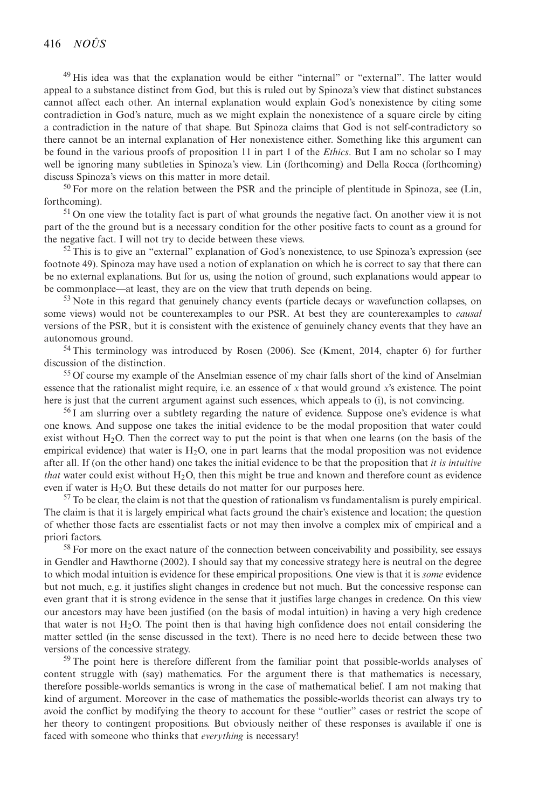<sup>49</sup> His idea was that the explanation would be either "internal" or "external". The latter would appeal to a substance distinct from God, but this is ruled out by Spinoza's view that distinct substances cannot affect each other. An internal explanation would explain God's nonexistence by citing some contradiction in God's nature, much as we might explain the nonexistence of a square circle by citing a contradiction in the nature of that shape. But Spinoza claims that God is not self-contradictory so there cannot be an internal explanation of Her nonexistence either. Something like this argument can be found in the various proofs of proposition 11 in part 1 of the *Ethics*. But I am no scholar so I may well be ignoring many subtleties in Spinoza's view. Lin (forthcoming) and Della Rocca (forthcoming) discuss Spinoza's views on this matter in more detail.

<sup>50</sup> For more on the relation between the PSR and the principle of plentitude in Spinoza, see (Lin, forthcoming).

<sup>51</sup> On one view the totality fact is part of what grounds the negative fact. On another view it is not part of the the ground but is a necessary condition for the other positive facts to count as a ground for the negative fact. I will not try to decide between these views.

<sup>52</sup> This is to give an "external" explanation of God's nonexistence, to use Spinoza's expression (see footnote 49). Spinoza may have used a notion of explanation on which he is correct to say that there can be no external explanations. But for us, using the notion of ground, such explanations would appear to be commonplace—at least, they are on the view that truth depends on being.

<sup>53</sup> Note in this regard that genuinely chancy events (particle decays or wavefunction collapses, on some views) would not be counterexamples to our PSR. At best they are counterexamples to *causal* versions of the PSR, but it is consistent with the existence of genuinely chancy events that they have an autonomous ground.

<sup>54</sup> This terminology was introduced by Rosen (2006). See (Kment, 2014, chapter 6) for further discussion of the distinction.

<sup>55</sup> Of course my example of the Anselmian essence of my chair falls short of the kind of Anselmian essence that the rationalist might require, i.e. an essence of *x* that would ground *x*'s existence. The point here is just that the current argument against such essences, which appeals to (i), is not convincing.

<sup>56</sup> I am slurring over a subtlety regarding the nature of evidence. Suppose one's evidence is what one knows. And suppose one takes the initial evidence to be the modal proposition that water could exist without  $H_2O$ . Then the correct way to put the point is that when one learns (on the basis of the empirical evidence) that water is  $H_2O$ , one in part learns that the modal proposition was not evidence after all. If (on the other hand) one takes the initial evidence to be that the proposition that *it is intuitive that* water could exist without  $H_2O$ , then this might be true and known and therefore count as evidence even if water is H<sub>2</sub>O. But these details do not matter for our purposes here.  $57$  To be clear, the claim is not that the question of rationalism vs fundamentalism is purely empirical.

The claim is that it is largely empirical what facts ground the chair's existence and location; the question of whether those facts are essentialist facts or not may then involve a complex mix of empirical and a priori factors.

<sup>58</sup> For more on the exact nature of the connection between conceivability and possibility, see essays in Gendler and Hawthorne (2002). I should say that my concessive strategy here is neutral on the degree to which modal intuition is evidence for these empirical propositions. One view is that it is *some* evidence but not much, e.g. it justifies slight changes in credence but not much. But the concessive response can even grant that it is strong evidence in the sense that it justifies large changes in credence. On this view our ancestors may have been justified (on the basis of modal intuition) in having a very high credence that water is not  $H_2O$ . The point then is that having high confidence does not entail considering the matter settled (in the sense discussed in the text). There is no need here to decide between these two versions of the concessive strategy.

<sup>59</sup> The point here is therefore different from the familiar point that possible-worlds analyses of content struggle with (say) mathematics. For the argument there is that mathematics is necessary, therefore possible-worlds semantics is wrong in the case of mathematical belief. I am not making that kind of argument. Moreover in the case of mathematics the possible-worlds theorist can always try to avoid the conflict by modifying the theory to account for these "outlier" cases or restrict the scope of her theory to contingent propositions. But obviously neither of these responses is available if one is faced with someone who thinks that *everything* is necessary!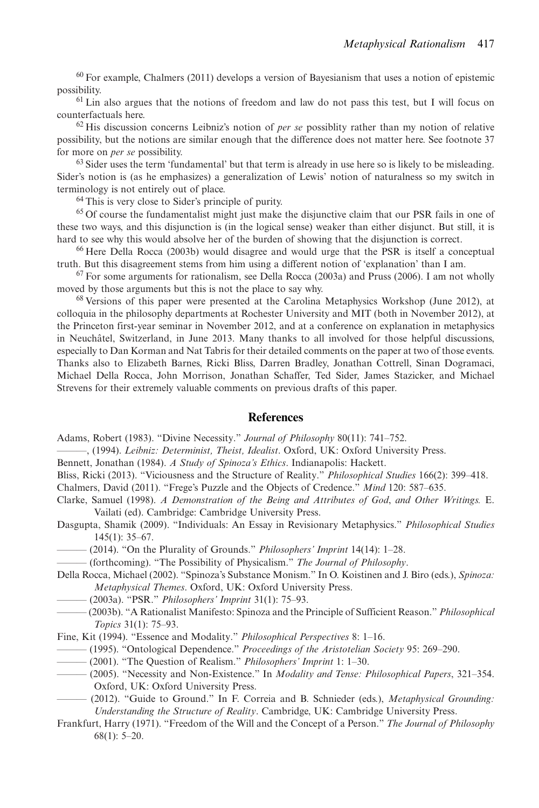$60$  For example, Chalmers (2011) develops a version of Bayesianism that uses a notion of epistemic possibility.

<sup>61</sup> Lin also argues that the notions of freedom and law do not pass this test, but I will focus on counterfactuals here.

<sup>62</sup> His discussion concerns Leibniz's notion of *per se* possiblity rather than my notion of relative possibility, but the notions are similar enough that the difference does not matter here. See footnote 37 for more on *per se* possibility.

 $63$  Sider uses the term 'fundamental' but that term is already in use here so is likely to be misleading. Sider's notion is (as he emphasizes) a generalization of Lewis' notion of naturalness so my switch in terminology is not entirely out of place.

<sup>64</sup> This is very close to Sider's principle of purity.

<sup>65</sup> Of course the fundamentalist might just make the disjunctive claim that our PSR fails in one of these two ways, and this disjunction is (in the logical sense) weaker than either disjunct. But still, it is hard to see why this would absolve her of the burden of showing that the disjunction is correct.

<sup>66</sup> Here Della Rocca (2003b) would disagree and would urge that the PSR is itself a conceptual truth. But this disagreement stems from him using a different notion of 'explanation' than I am.

 $67$  For some arguments for rationalism, see Della Rocca (2003a) and Pruss (2006). I am not wholly moved by those arguments but this is not the place to say why.

<sup>68</sup> Versions of this paper were presented at the Carolina Metaphysics Workshop (June 2012), at colloquia in the philosophy departments at Rochester University and MIT (both in November 2012), at the Princeton first-year seminar in November 2012, and at a conference on explanation in metaphysics in Neuchâtel, Switzerland, in June 2013. Many thanks to all involved for those helpful discussions, especially to Dan Korman and Nat Tabris for their detailed comments on the paper at two of those events. Thanks also to Elizabeth Barnes, Ricki Bliss, Darren Bradley, Jonathan Cottrell, Sinan Dogramaci, Michael Della Rocca, John Morrison, Jonathan Schaffer, Ted Sider, James Stazicker, and Michael Strevens for their extremely valuable comments on previous drafts of this paper.

#### **References**

Adams, Robert (1983). "Divine Necessity." *Journal of Philosophy* 80(11): 741–752.

———, (1994). *Leibniz: Determinist, Theist, Idealist*. Oxford, UK: Oxford University Press.

Bennett, Jonathan (1984). *A Study of Spinoza's Ethics*. Indianapolis: Hackett.

Bliss, Ricki (2013). "Viciousness and the Structure of Reality." *Philosophical Studies* 166(2): 399–418.

Chalmers, David (2011). "Frege's Puzzle and the Objects of Credence." *Mind* 120: 587–635.

- Clarke, Samuel (1998). *A Demonstration of the Being and Attributes of God*, *and Other Writings.* E. Vailati (ed). Cambridge: Cambridge University Press.
- Dasgupta, Shamik (2009). "Individuals: An Essay in Revisionary Metaphysics." *Philosophical Studies* 145(1): 35–67.
	- ——— (2014). "On the Plurality of Grounds." *Philosophers' Imprint* 14(14): 1–28.

——— (forthcoming). "The Possibility of Physicalism." *The Journal of Philosophy*.

Della Rocca, Michael (2002). "Spinoza's Substance Monism." In O. Koistinen and J. Biro (eds.), *Spinoza: Metaphysical Themes*. Oxford, UK: Oxford University Press.

- ——— (2003a). "PSR." *Philosophers' Imprint* 31(1): 75–93.
- ——— (2003b). "A Rationalist Manifesto: Spinoza and the Principle of Sufficient Reason." *Philosophical Topics* 31(1): 75–93.

Fine, Kit (1994). "Essence and Modality." *Philosophical Perspectives* 8: 1–16.

——— (1995). "Ontological Dependence." *Proceedings of the Aristotelian Society* 95: 269–290.

——— (2001). "The Question of Realism." *Philosophers' Imprint* 1: 1–30.

- ——— (2005). "Necessity and Non-Existence." In *Modality and Tense: Philosophical Papers*, 321–354. Oxford, UK: Oxford University Press.
- ——— (2012). "Guide to Ground." In F. Correia and B. Schnieder (eds.), *Metaphysical Grounding: Understanding the Structure of Reality*. Cambridge, UK: Cambridge University Press.
- Frankfurt, Harry (1971). "Freedom of the Will and the Concept of a Person." *The Journal of Philosophy* 68(1): 5–20.